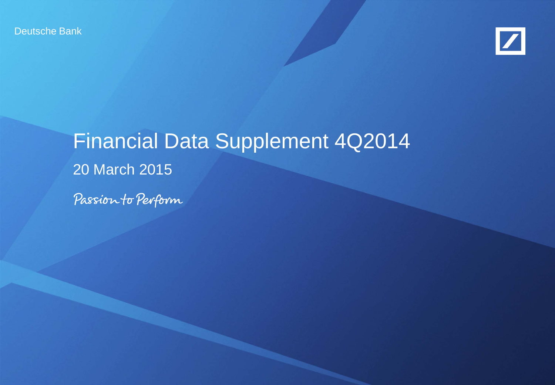Deutsche Bank



# Financial Data Supplement 4Q2014 20 March 2015

Passion to Perform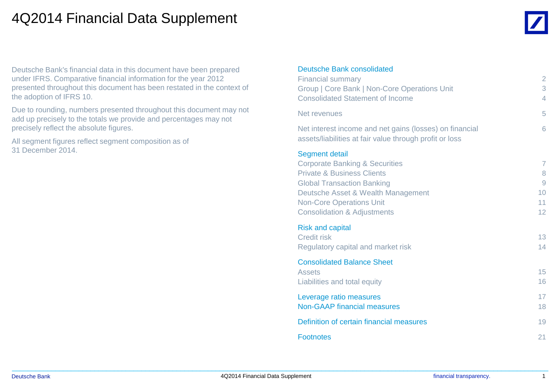#### 4Q2014 Financial Data Supplement

Deutsche Bank's financial data in this document have been prepared under IFRS. Comparative financial information for the year 2012 presented throughout this document has been restated in the context of the adoption of IFRS 10.

Due to rounding, numbers presented throughout this document may not add up precisely to the totals we provide and percentages may not precisely reflect the absolute figures.

All segment figures reflect segment composition as of 31 December 2014.

#### Deutsche Bank consolidated

| Deutsche Dann consolidated<br><b>Financial summary</b>                                                             | $\overline{2}$    |
|--------------------------------------------------------------------------------------------------------------------|-------------------|
| Group   Core Bank   Non-Core Operations Unit                                                                       | 3                 |
| <b>Consolidated Statement of Income</b>                                                                            | $\overline{4}$    |
| Net revenues                                                                                                       | 5                 |
| Net interest income and net gains (losses) on financial<br>assets/liabilities at fair value through profit or loss | 6                 |
| <b>Segment detail</b>                                                                                              |                   |
| <b>Corporate Banking &amp; Securities</b>                                                                          | $\overline{7}$    |
| <b>Private &amp; Business Clients</b><br><b>Global Transaction Banking</b>                                         | 8<br>9            |
| Deutsche Asset & Wealth Management                                                                                 | 10                |
| <b>Non-Core Operations Unit</b>                                                                                    | 11                |
| <b>Consolidation &amp; Adjustments</b>                                                                             | $12 \overline{ }$ |
| <b>Risk and capital</b>                                                                                            |                   |
| <b>Credit risk</b>                                                                                                 | 13                |
| Regulatory capital and market risk                                                                                 | 14                |
| <b>Consolidated Balance Sheet</b>                                                                                  |                   |
| <b>Assets</b>                                                                                                      | 15                |
| Liabilities and total equity                                                                                       | 16                |
| Leverage ratio measures                                                                                            | 17                |
| <b>Non-GAAP financial measures</b>                                                                                 | 18                |
| Definition of certain financial measures                                                                           | 19                |
| <b>Footnotes</b>                                                                                                   | 21                |

 $\_$  , and the set of the set of the set of the set of the set of the set of the set of the set of the set of the set of the set of the set of the set of the set of the set of the set of the set of the set of the set of th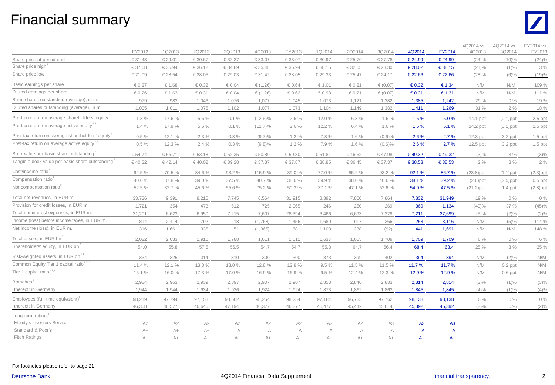#### Financial summary



|                                                              | FY2012   | 1Q2013 | 2Q2013    | 3Q2013    | 4Q2013     | FY2013   | 1Q2014         | 2Q2014   | 3Q2014         | 4Q2014         | FY2014         | 4Q2014 vs.<br>4Q2013 | 4Q2014 vs.<br>3Q2014 | FY2014 vs.<br>FY2013 |
|--------------------------------------------------------------|----------|--------|-----------|-----------|------------|----------|----------------|----------|----------------|----------------|----------------|----------------------|----------------------|----------------------|
| Share price at period end                                    | €31.43   | €29.01 | € 30.67   | €32.37    | €33.07     | €33.07   | €30.97         | €25.70   | €27.78         | €24.99         | €24.99         | $(24)\%$             | $(10)\%$             | $(24)\%$             |
| Share price high <sup>1</sup>                                | €37.68   | €36.94 | € 36.12   | €34.89    | €35.48     | €36.94   | €38.15         | €32.05   | €28.30         | €28.02         | € 38.15        | $(21)\%$             | $(1)\%$              | 3%                   |
| Share price low <sup>1</sup>                                 | €21.09   | €28.54 | €28.05    | €29.03    | €31.42     | €28.05   | €29.33         | €25.47   | €24.17         | €22.66         | €22.66         | $(28)\%$             | $(6)\%$              | (19)%                |
| Basic earnings per share                                     | € $0.27$ | € 1.68 | €0.32     | € $0.04$  | € $(1.26)$ | € $0.64$ | €1.01          | €0.21    | € $(0.07)$     | € $0.32$       | €1.34          | N/M                  | N/M                  | 109 %                |
| Diluted earnings per share <sup>2</sup>                      | € $0.26$ | € 1.63 | € $0.31$  | € $0.04$  | € $(1.26)$ | € $0.62$ | € $0.98$       | €0.21    | € $(0.07)$     | € $0.31$       | €1.31          | N/M                  | N/M                  | 111 %                |
| Basic shares outstanding (average), in m.                    | 979      | 983    | 1,046     | 1,076     | 1,077      | 1,045    | 1,073          | 1,121    | 1,382          | 1,385          | 1,242          | 29 %                 | $0\%$                | 19 %                 |
| Diluted shares outstanding (average), in m.                  | 1,005    | 1,011  | 1,075     | 1,102     | 1,077      | 1,073    | 1,104          | 1,149    | 1,382          | 1,411          | 1,269          | 31 %                 | 2%                   | 18 %                 |
| Pre-tax return on average shareholders' equity               | 1.3%     | 17.6%  | 5.6 %     | 0.1%      | $(12.6)\%$ | 2.6%     | 12.0%          | 6.3 %    | 1.6%           | 1.5%           | 5.0%           | 14.1 ppt             | $(0.1)$ ppt          | $2.5$ ppt            |
| Pre-tax return on average active equity <sup>3,4</sup>       | 1.4%     | 17.9%  | 5.6 %     | $0.1 \%$  | $(12.7)\%$ | 2.6%     | 12.2 %         | 6.4%     | 1.6%           | 1.5%           | 5.1%           | 14.2 ppt             | $(0.1)$ ppt          | $2.5$ ppt            |
| Post-tax return on average shareholders' equity <sup>3</sup> | 0.5%     | 12.1 % | 2.3%      | $0.3\%$   | $(9.7)\%$  | 1.2%     | 7.8%           | 1.6%     | $(0.6)\%$      | 2.6%           | 2.7%           | $12.3$ ppt           | 3.2 ppt              | $1.5$ ppt            |
| Post-tax return on average active equity <sup>3,4</sup>      | 0.5%     | 12.3 % | 2.4%      | $0.3\%$   | $(9.8)\%$  | 1.2%     | 7.9%           | 1.6%     | $(0.6)\%$      | 2.6%           | 2.7%           | $12.5$ ppt           | $3.2$ ppt            | $1.5$ ppt            |
| Book value per basic share outstanding <sup>3</sup>          | €54.74   | €56.71 | € $53.18$ | € $52.35$ | € $50.80$  | €50.80   | €51.81         | €46.62   | €47.98         | €49.32         | €49.32         | $(3)\%$              | 3%                   | $(3)\%$              |
| Tangible book value per basic share outstanding              | €40.32   | €42.14 | €40.02    | € 39.28   | €37.87     | €37.87   | € 38.85        | € 36.45  | € 37.37        | €38.53         | €38.53         | 2%                   | $3\%$                | 2%                   |
| Cost/income ratio <sup>3</sup>                               | 92.5 %   | 70.5 % | 84.6 %    | 93.2 %    | 115.9 %    | 89.0 %   | 77.0%          | 85.2 %   | 93.2 %         | 92.1%          | 86.7%          | $(23.8)$ ppt         | $(1.1)$ ppt          | $(2.3)$ ppt          |
| Compensation ratio                                           | 40.0%    | 37.8 % | 39.0 %    | 37.5 %    | 40.7%      | 38.6%    | 39.9%          | 38.0 %   | 40.6 %         | 38.1%          | 39.2%          | $(2.6)$ ppt          | $(2.5)$ ppt          | $0.5$ ppt            |
| Noncompensation ratio                                        | 52.5 %   | 32.7%  | 45.6 %    | 55.6 %    | 75.2 %     | 50.3 %   | 37.1 %         | 47.1 %   | 52.6 %         | 54.0%          | 47.5%          | $(21.2)$ ppt         | $1.4$ ppt            | $(2.8)$ ppt          |
| Total net revenues, in EUR m.                                | 33,736   | 9,391  | 8,215     | 7,745     | 6.564      | 31.915   | 8,392          | 7,860    | 7,864          | 7,832          | 31,949         | 19 %                 | $0\%$                | $0\%$                |
| Provision for credit losses, in EUR m.                       | 1,721    | 354    | 473       | 512       | 725        | 2.065    | 246            | 250      | 269            | 369            | 1,134          | (49)%                | 37 %                 | (45)%                |
| Total noninterest expenses, in EUR m.                        | 31,201   | 6,623  | 6,950     | 7,215     | 7,607      | 28,394   | 6.466          | 6,693    | 7,328          | 7,211          | 27,699         | $(5)\%$              | $(2)\%$              | $(2)\%$              |
| Income (loss) before income taxes, in EUR m.                 | 814      | 2,414  | 792       | 18        | (1,768)    | 1,456    | 1,680          | 917      | 266            | 253            | 3,116          | N/M                  | $(5)\%$              | 114 %                |
| Net income (loss), in EUR m.                                 | 316      | 1,661  | 335       | 51        | (1, 365)   | 681      | 1,103          | 238      | (92)           | 441            | 1,691          | N/M                  | N/M                  | 148 %                |
| Total assets, in EUR bn.                                     | 2,022    | 2,033  | 1,910     | 1,788     | 1,611      | 1,611    | 1,637          | 1,665    | 1,709          | 1,709          | 1,709          | 6 %                  | $0\%$                | 6 %                  |
| Shareholders' equity, in EUR bn.                             | 54.0     | 55.8   | 57.5      | 56.5      | 54.7       | 54.7     | 55.8           | 64.7     | 66.4           | 68.4           | 68.4           | 25 %                 | 3%                   | 25 %                 |
| Risk-weighted assets, in EUR bn. <sup>5,6</sup>              | 334      | 325    | 314       | 310       | 300        | 300      | 373            | 399      | 402            | 394            | 394            | N/M                  | $(2)\%$              | N/M                  |
| Common Equity Tier 1 capital ratio <sup>3,5,6</sup>          | 11.4 %   | 12.1 % | 13.3 %    | 13.0 %    | 12.8%      | 12.8%    | 9.5%           | 11.5 %   | 11.5 %         | 11.7%          | 11.7%          | N/M                  | $0.2$ ppt            | N/M                  |
| Tier 1 capital ratio <sup>3,5,6</sup>                        | 15.1%    | 16.0%  | 17.3 %    | 17.0 %    | 16.9%      | 16.9%    | 9.5%           | 12.4 %   | 12.3 %         | 12.9%          | 12.9%          | N/M                  | $0.6$ ppt            | N/M                  |
| <b>Branches</b> <sup><sup>®</sup></sup>                      | 2,984    | 2,963  | 2,939     | 2,897     | 2,907      | 2.907    | 2,853          | 2,840    | 2,833          | 2,814          | 2,814          | $(3)\%$              | $(1)\%$              | $(3)\%$              |
| thereof: in Germany                                          | 1,944    | 1,944  | 1,934     | 1,926     | 1,924      | 1,924    | 1,873          | 1,862    | 1,863          | 1,845          | 1,845          | (4)%                 | $(1)\%$              | (4)%                 |
| Employees (full-time equivalent) <sup>5</sup>                | 98,219   | 97,794 | 97,158    | 98,662    | 98,254     | 98,254   | 97,184         | 96,733   | 97,762         | 98,138         | 98,138         | 0%                   | $0\%$                | $0\%$                |
| thereof: in Germany                                          | 46,308   | 46,577 | 46,646    | 47,194    | 46,377     | 46,377   | 45,477         | 45,442   | 45,614         | 45,392         | 45,392         | $(2)\%$              | $0\%$                | $(2)\%$              |
| Long-term rating:                                            |          |        |           |           |            |          |                |          |                |                |                |                      |                      |                      |
| Moody's Investors Service                                    | A2       | A2     | A2        | A2        | A2         | A2       | A <sub>2</sub> | A2       | A <sub>3</sub> | A <sub>3</sub> | A3             |                      |                      |                      |
| Standard & Poor's                                            | $A+$     | $A+$   | $A+$      | $\wedge$  | A          | $\wedge$ | A              | $\wedge$ | A              | $\overline{A}$ | $\overline{A}$ |                      |                      |                      |
| <b>Fitch Ratings</b>                                         | $A+$     | $A+$   | $A+$      | $A+$      | $A+$       | $A+$     | $A+$           | $A+$     | A+             | A+             | $A+$           |                      |                      |                      |

For footnotes please refer to page 21. For footnotes please refer to page 21.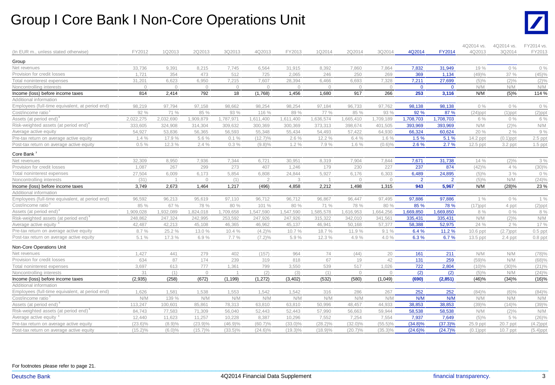#### Group I Core Bank I Non-Core Operations Unit



|                                                 |            |           |                |                |                |            |            |                |            |                |                | 4Q2014 vs.  | 4Q2014 vs.  | FY2014 vs.  |
|-------------------------------------------------|------------|-----------|----------------|----------------|----------------|------------|------------|----------------|------------|----------------|----------------|-------------|-------------|-------------|
| (In EUR m., unless stated otherwise)            | FY2012     | 1Q2013    | 2Q2013         | 3Q2013         | 4Q2013         | FY2013     | 1Q2014     | 2Q2014         | 3Q2014     | 4Q2014         | <b>FY2014</b>  | 4Q2013      | 3Q2014      | FY2013      |
| Group                                           |            |           |                |                |                |            |            |                |            |                |                |             |             |             |
| Net revenues                                    | 33,736     | 9,391     | 8,215          | 7,745          | 6,564          | 31,915     | 8,392      | 7,860          | 7,864      | 7,832          | 31,949         | 19 %        | 0%          | $0\%$       |
| Provision for credit losses                     | 1.721      | 354       | 473            | 512            | 725            | 2,065      | 246        | 250            | 269        | 369            | 1,134          | (49)%       | 37 %        | (45)%       |
| Total noninterest expenses                      | 31,201     | 6,623     | 6,950          | 7,215          | 7,607          | 28,394     | 6,466      | 6,693          | 7,328      | 7,211          | 27,699         | (5)%        | $(2)\%$     | $(2)\%$     |
| Noncontrolling interests                        | $\Omega$   | $\Omega$  | $\overline{0}$ | $\overline{0}$ | $\overline{0}$ | $\bigcap$  | $\Omega$   | $\Omega$       | $\Omega$   | $\mathbf{0}$   | $\Omega$       | N/M         | N/M         | N/M         |
| Income (loss) before income taxes               | 814        | 2,414     | 792            | 18             | (1,768)        | 1,456      | 1,680      | 917            | 266        | 253            | 3,116          | N/M         | (5)%        | 114 %       |
| Additional information                          |            |           |                |                |                |            |            |                |            |                |                |             |             |             |
| Employees (full-time equivalent, at period end) | 98.219     | 97,794    | 97,158         | 98.662         | 98.254         | 98.254     | 97,184     | 96,733         | 97,762     | 98,138         | 98,138         | 0%          | $0\%$       | $0\%$       |
| Cost/income ratio <sup>3</sup>                  | 92 %       | 71 %      | 85 %           | 93 %           | 116 %          | 89 %       | 77 %       | 85 %           | 93 %       | 92 %           | 87 %           | $(24)$ ppt  | $(1)$ ppt   | $(2)$ ppt   |
| Assets (at period end)'                         | 2,022,275  | 2,032,690 | 1,909,879      | 1,787,971      | 1,611,400      | 1,611,400  | 1,636,574  | 1,665,410      | 1,709,189  | 1,708,703      | 1,708,703      | 6 %         | $0\%$       | 6 %         |
| Risk-weighted assets (at period end)            | 333.605    | 324,908   | 314,304        | 309,632        | 300.369        | 300,369    | 373,313    | 398.674        | 401,505    | 393,969        | 393,969        | N/M         | $(2)\%$     | N/M         |
| Average active equity                           | 54,927     | 53,836    | 56,365         | 56,593         | 55,348         | 55,434     | 54,493     | 57,422         | 64,930     | 66,324         | 60,624         | 20 %        | 2%          | 9%          |
| Pre-tax return on average active equity         | 1.4%       | 17.9 %    | 5.6 %          | 0.1%           | $(12.7)\%$     | 2.6%       | 12.2 %     | 6.4%           | 1.6%       | 1.5%           | 5.1%           | 14.2 ppt    | $(0.1)$ ppt | $2.5$ ppt   |
| Post-tax return on average active equity        | 0.5%       | 12.3 %    | 2.4%           | 0.3%           | $(9.8)\%$      | 1.2%       | 7.9 %      | 1.6%           | (0.6)%     | 2.6%           | 2.7%           | $12.5$ ppt  | $3.2$ ppt   | $1.5$ ppt   |
| Core Bank                                       |            |           |                |                |                |            |            |                |            |                |                |             |             |             |
| Net revenues                                    | 32,309     | 8,950     | 7,936          | 7,344          | 6,721          | 30,951     | 8,319      | 7,904          | 7,844      | 7,671          | 31,738         | 14 %        | $(2)\%$     | 3%          |
| Provision for credit losses                     | 1,087      | 267       | 299            | 273            | 407            | 1,246      | 179        | 230            | 227        | 237            | 874            | (42)%       | 4 %         | $(30)\%$    |
| Total noninterest expenses                      | 27.504     | 6,009     | 6,173          | 5.854          | 6.808          | 24.844     | 5.927      | 6,176          | 6,303      | 6,489          | 24,895         | $(5)\%$     | 3%          | $0\%$       |
| Noncontrolling interests                        | (31)       |           | $\circ$        | (1)            | $\mathcal{D}$  | 3          |            | $\bigcap$      | $\Omega$   | $\overline{2}$ | $\overline{2}$ | (5)%        | N/M         | (24)%       |
| Income (loss) before income taxes               | 3,749      | 2,673     | 1,464          | 1,217          | (496)          | 4,858      | 2,212      | 1,498          | 1,315      | 943            | 5,967          | N/M         | (28)%       | 23 %        |
| Additional information                          |            |           |                |                |                |            |            |                |            |                |                |             |             |             |
| Employees (full-time equivalent, at period end) | 96,592     | 96,213    | 95,619         | 97,110         | 96,712         | 96,712     | 96,867     | 96,447         | 97,495     | 97,886         | 97,886         | 1%          | $0\%$       | 1%          |
| Cost/income ratio <sup>3</sup>                  | 85 %       | 67 %      | 78 %           | 80 %           | 101 %          | 80 %       | 71 %       | 78 %           | 80 %       | 85 %           | 78 %           | $(17)$ ppt  | 4 ppt       | $(2)$ ppt   |
| Assets (at period end) <sup>®</sup>             | 1,909,028  | 1,932,089 | 1,824,018      | 1,709,658      | 1,547,590      | 1,547,590  | 1,585,578  | 1,616,953      | 1,664,256  | 1,669,850      | 1,669,850      | 8 %         | $0\%$       | 8 %         |
| Risk-weighted assets (at period end)            | 248,862    | 247,324   | 242,995        | 253,592        | 247,926        | 247,926    | 315,322    | 342,010        | 341,561    | 335,431        | 335,431        | N/M         | $(2)\%$     | N/M         |
| Average active equity '                         | 42.487     | 42.213    | 45,108         | 46,365         | 46.962         | 45,137     | 46.941     | 50.168         | 57,377     | 58,388         | 52,975         | 24 %        | 2%          | 17 %        |
| Pre-tax return on average active equity         | 8.7%       | 25.2 %    | 13.0 %         | 10.4 %         | $(4.2)\%$      | 10.7%      | 18.7%      | 11.9%          | 9.1%       | 6.4%           | 11.2 %         | $10.6$ ppt  | $(2.7)$ ppt | $0.5$ ppt   |
| Post-tax return on average active equity        | 5.1%       | 17.3 %    | 6.9%           | 7.7%           | $(7.2)\%$      | 5.9%       | 12.3 %     | 4.9%           | 4.0%       | 6.3%           | 6.7%           | 13.5 ppt    | $2.4$ ppt   | $0.8$ ppt   |
| Non-Core Operations Unit                        |            |           |                |                |                |            |            |                |            |                |                |             |             |             |
| Net revenues                                    | 1,427      | 441       | 279            | 402            | (157)          | 964        | 74         | (44)           | 20         | 161            | 211            | N/M         | N/M         | (78)%       |
| Provision for credit losses                     | 634        | 87        | 174            | 239            | 319            | 818        | 67         | 19             | 42         | 131            | 259            | (59)%       | N/M         | (68)%       |
| Total noninterest expenses                      | 3,697      | 613       | 777            | 1.361          | 799            | 3,550      | 539        | 517            | 1,026      | 722            | 2,804          | $(10)\%$    | (30)%       | $(21)\%$    |
| Noncontrolling interests                        | 31         | (1)       | $\circ$        |                | (2)            | (3)        | (1)        | $\overline{0}$ | $\Omega$   | (2)            | (2)            | $(5)\%$     | N/M         | $(24)\%$    |
| Income (loss) before income taxes               | (2,935)    | (258)     | (672)          | (1, 199)       | (1, 272)       | (3, 402)   | (532)      | (580)          | (1,049)    | (690)          | (2,851)        | (46)%       | (34)%       | (16)%       |
| Additional information                          |            |           |                |                |                |            |            |                |            |                |                |             |             |             |
| Employees (full-time equivalent, at period end) | 1,626      | 1,581     | 1,538          | 1,553          | 1,542          | 1,542      | 316        | 286            | 267        | 252            | 252            | (84)%       | $(6)\%$     | (84)%       |
| Cost/income ratio                               | N/M        | 139 %     | N/M            | N/M            | N/M            | N/M        | N/M        | N/M            | N/M        | N/M            | N/M            | N/M         | N/M         | N/M         |
| Assets (at period end)'                         | 113,247    | 100,601   | 85,861         | 78,313         | 63,810         | 63.810     | 50,996     | 48,457         | 44.933     | 38,853         | 38.853         | (39)%       | (14)%       | (39)%       |
| Risk-weighted assets (at period end)            | 84,743     | 77,583    | 71,309         | 56,040         | 52,443         | 52,443     | 57,990     | 56,663         | 59,944     | 58,538         | 58,538         | N/M         | $(2)\%$     | N/M         |
| Average active equity                           | 12,440     | 11,623    | 11,257         | 10,228         | 8,387          | 10,296     | 7,552      | 7.254          | 7,554      | 7,937          | 7,649          | $(5)\%$     | 5 %         | $(26)\%$    |
| Pre-tax return on average active equity         | $(23.6)\%$ | (8.9)%    | $(23.9)\%$     | $(46.9)\%$     | $(60.7)\%$     | $(33.0)\%$ | $(28.2)\%$ | $(32.0)\%$     | $(55.5)\%$ | $(34.8)\%$     | $(37.3)\%$     | 25.9 ppt    | 20.7 ppt    | $(4.2)$ ppt |
| Post-tax return on average active equity        | $(15.2)\%$ | $(6.0)\%$ | $(15.7)\%$     | $(33.5)\%$     | $(24.6)\%$     | $(19.3)\%$ | $(18.9)\%$ | $(20.7)\%$     | $(35.3)\%$ | $(24.6)\%$     | $(24.7)\%$     | $(0.1)$ ppt | $10.7$ ppt  | $(5.4)$ ppt |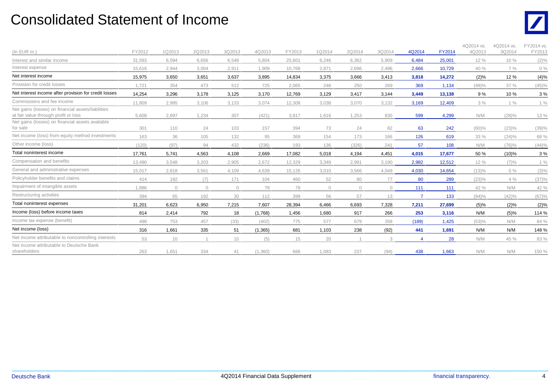#### Consolidated Statement of Income



| (In EUR m.)                                                                                | FY2012 | 1Q2013     | 2Q2013  | 3Q2013  | 4Q2013   | FY2013 | 1Q2014  | 2Q2014     | 3Q2014     | 4Q2014         | <b>FY2014</b> | 4Q2014 vs.<br>4Q2013 | 4Q2014 vs.<br>3Q2014 | FY2014 vs.<br>FY2013 |
|--------------------------------------------------------------------------------------------|--------|------------|---------|---------|----------|--------|---------|------------|------------|----------------|---------------|----------------------|----------------------|----------------------|
| Interest and similar income                                                                | 31.593 | 6.594      | 6.656   | 6.548   | 5.804    | 25.601 | 6.246   | 6.362      | 5,909      | 6,484          | 25,001        | 12 %                 | 10 %                 | $(2)\%$              |
| Interest expense                                                                           | 15.618 | 2.944      | 3,004   | 2,911   | 1,909    | 10.768 | 2,871   | 2,696      | 2,496      | 2,666          | 10,729        | 40 %                 | 7%                   | $0\%$                |
| Net interest income                                                                        | 15,975 | 3,650      | 3,651   | 3,637   | 3,895    | 14,834 | 3,375   | 3,666      | 3,413      | 3,818          | 14,272        | $(2)\%$              | 12 %                 | (4)%                 |
| Provision for credit losses                                                                | 1,721  | 354        | 473     | 512     | 725      | 2,065  | 246     | 250        | 269        | 369            | 1,134         | (49)%                | 37 %                 | (45)%                |
| Net interest income after provision for credit losses                                      | 14,254 | 3,296      | 3,178   | 3,125   | 3,170    | 12,769 | 3,129   | 3,417      | 3,144      | 3,449          | 13,138        | 9%                   | 10%                  | 3%                   |
| Commissions and fee income                                                                 | 11.809 | 2,995      | 3,106   | 3,133   | 3,074    | 12,308 | 3,038   | 3,070      | 3,132      | 3,169          | 12,409        | 3%                   | $1\%$                | $1\%$                |
| Net gains (losses) on financial assets/liabilities<br>at fair value through profit or loss | 5.608  | 2,697      | 1,234   | 307     | (421)    | 3,817  | 1,616   | 1,253      | 830        | 599            | 4,299         | N/M                  | (28)%                | 13 %                 |
| Net gains (losses) on financial assets available<br>for sale                               | 301    | 110        | 24      | 103     | 157      | 394    | 73      | 24         | 82         | 63             | 242           | $(60)$ %             | (23)%                | (39)%                |
| Net income (loss) from equity method investments                                           | 163    | 36         | 105     | 132     | 95       | 369    | 154     | 173        | 166        | 126            | 619           | 33 %                 | (24)%                | 68 %                 |
| Other income (loss)                                                                        | (120)  | (97)       | 94      | 432     | (236)    | 193    | 136     | (326)      | 241        | 57             | 108           | N/M                  | (76)%                | (44)%                |
| Total noninterest income                                                                   | 17,761 | 5,741      | 4,563   | 4,108   | 2,669    | 17,082 | 5,018   | 4,194      | 4,451      | 4,015          | 17,677        | 50 %                 | (10)%                | 3%                   |
| Compensation and benefits                                                                  | 13,490 | 3,548      | 3,203   | 2,905   | 2,672    | 12,329 | 3,349   | 2,991      | 3,190      | 2,982          | 12,512        | 12 %                 | (7)%                 | 1%                   |
| General and administrative expenses                                                        | 15,017 | 2,818      | 3,561   | 4.109   | 4,639    | 15,126 | 3,010   | 3,566      | 4,049      | 4,030          | 14,654        | (13)%                | $0\%$                | $(3)\%$              |
| Policyholder benefits and claims                                                           | 414    | 192        | (7)     | 171     | 104      | 460    | 52      | 80         | 77         | 80             | 289           | (23)%                | 4%                   | (37)%                |
| Impairment of intangible assets                                                            | 1,886  | $\bigcirc$ | $\circ$ | $\circ$ | 79       | 79     | $\circ$ | $\bigcirc$ | $\bigcirc$ | 111            | 111           | 42 %                 | N/M                  | 42 %                 |
| Restructuring activities                                                                   | 394    | 65         | 192     | 30      | 112      | 399    | 56      | 57         | 13         | $\overline{7}$ | 133           | (94)%                | (42)%                | (67)%                |
| Total noninterest expenses                                                                 | 31,201 | 6,623      | 6,950   | 7,215   | 7,607    | 28,394 | 6,466   | 6,693      | 7,328      | 7,211          | 27,699        | (5)%                 | (2)%                 | (2)%                 |
| Income (loss) before income taxes                                                          | 814    | 2,414      | 792     | 18      | (1,768)  | 1,456  | 1,680   | 917        | 266        | 253            | 3,116         | N/M                  | (5)%                 | 114 %                |
| Income tax expense (benefit)                                                               | 498    | 753        | 457     | (33)    | (402)    | 775    | 577     | 679        | 358        | (189)          | 1,425         | (53)%                | N/M                  | 84 %                 |
| Net income (loss)                                                                          | 316    | 1,661      | 335     | 51      | (1, 365) | 681    | 1,103   | 238        | (92)       | 441            | 1,691         | N/M                  | N/M                  | 148 %                |
| Net income attributable to noncontrolling interests                                        | 53     | 10         |         | 10      | (5)      | 15     | 20      |            | 3          |                | 28            | N/M                  | 45 %                 | 83 %                 |
| Net income attributable to Deutsche Bank<br>shareholders                                   | 263    | 1,651      | 334     | 41      | (1,360)  | 666    | 1,083   | 237        | (94)       | 438            | 1,663         | N/M                  | N/M                  | 150 %                |

 $\_$  , and the set of the set of the set of the set of the set of the set of the set of the set of the set of the set of the set of the set of the set of the set of the set of the set of the set of the set of the set of th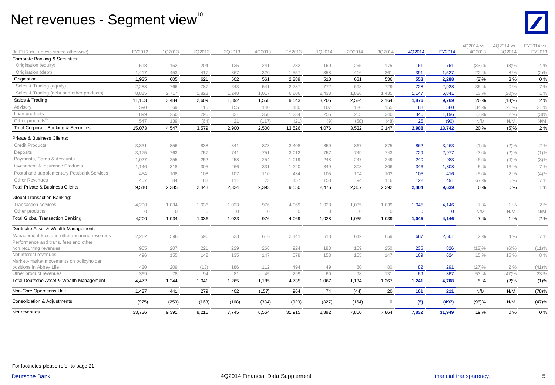### Net revenues - Segment view $^{\text{\tiny{10}}}$



| (In EUR m., unless stated otherwise)              | FY2012     | 1Q2013      | 2Q2013     | 3Q2013      | 4Q2013         | FY2013       | 1Q2014       | 2Q2014      | 3Q2014       | 4Q2014       | <b>FY2014</b> | 4Q2014 vs.<br>4Q2013 | 4Q2014 vs.<br>3Q2014 | FY2014 vs.<br>FY2013 |
|---------------------------------------------------|------------|-------------|------------|-------------|----------------|--------------|--------------|-------------|--------------|--------------|---------------|----------------------|----------------------|----------------------|
| Corporate Banking & Securities:                   |            |             |            |             |                |              |              |             |              |              |               |                      |                      |                      |
| Origination (equity)                              | 518        | 152         | 204        | 135         | 241            | 732          | 160          | 265         | 175          | 161          | 761           | (33)%                | $(8)\%$              | 4%                   |
| Origination (debt)                                | 1.417      | 453         | 417        | 367         | 320            | 1,557        | 358          | 416         | 361          | 391          | 1,527         | 22 %                 | 8 %                  | $(2)\%$              |
| Origination                                       | 1,935      | 605         | 621        | 502         | 561            | 2,289        | 518          | 681         | 536          | 553          | 2.288         | (2)%                 | 3%                   | 0%                   |
| Sales & Trading (equity)                          | 2,288      | 766         | 787        | 643         | 541            | 2.737        | 772          | 698         | 729          | 728          | 2,928         | 35 %                 | 0%                   | 7 %                  |
| Sales & Trading (debt and other products)         | 8.815      | 2,717       | 1,823      | 1.248       | 1.017          | 6.806        | 2,433        | 1,826       | 1,435        | 1,147        | 6,841         | 13 %                 | (20)%                | 1%                   |
| Sales & Trading                                   | 11,103     | 3,484       | 2,609      | 1,892       | 1,558          | 9,543        | 3,205        | 2,524       | 2,164        | 1,876        | 9,769         | 20 %                 | (13)%                | 2 %                  |
| Advisory                                          | 590        | 69          | 116        | 155         | 140            | 480          | 107          | 130         | 155          | 188          | 580           | 34 %                 | 21 %                 | 21 %                 |
| Loan products                                     | 899        | 250         | 296        | 331         | 358            | 1,234        | 255          | 255         | 340          | 346          | 1,196         | $(3)\%$              | 2%                   | $(3)\%$              |
| Other products <sup>1</sup>                       | 547        | 139         | (64)       | 21          | (117)          | (21)         | (9)          | (58)        | (48)         | 25           | (90)          | N/M                  | N/M                  | N/M                  |
| <b>Total Corporate Banking &amp; Securities</b>   | 15,073     | 4,547       | 3,579      | 2,900       | 2,500          | 13,526       | 4,076        | 3,532       | 3,147        | 2,988        | 13,742        | 20%                  | (5)%                 | 2 %                  |
| Private & Business Clients:                       |            |             |            |             |                |              |              |             |              |              |               |                      |                      |                      |
| <b>Credit Products</b>                            | 3,331      | 856         | 838        | 841         | 873            | 3,408        | 859          | 867         | 875          | 862          | 3,463         | $(1)\%$              | $(2)\%$              | 2%                   |
| Deposits                                          | 3,175      | 763         | 757        | 741         | 751            | 3,012        | 757          | 749         | 743          | 729          | 2,977         | $(3)\%$              | $(2)\%$              | $(1)\%$              |
| Payments, Cards & Accounts                        | 1,027      | 255         | 252        | 258         | 254            | 1.019        | 248          | 247         | 249          | 240          | 983           | $(6)\%$              | $(4)\%$              | $(3)\%$              |
| Investment & Insurance Products                   | 1,146      | 318         | 305        | 266         | 331            | 1,220        | 349          | 308         | 306          | 346          | 1,308         | 5 %                  | 13 %                 | 7 %                  |
| Postal and supplementary Postbank Services        | 454        | 108         | 108        | 107         | 110            | 434          | 105          | 104         | 103          | 105          | 416           | $(5)\%$              | 2%                   | (4)%                 |
| Other Revenues                                    | 407        | 84          | 188        | 111         | 73             | 457          | 158          | 94          | 116          | 122          | 491           | 67 %                 | 5 %                  | 7 %                  |
| <b>Total Private &amp; Business Clients</b>       | 9,540      | 2,385       | 2,448      | 2,324       | 2,393          | 9,550        | 2,476        | 2,367       | 2,392        | 2,404        | 9,639         | $0\%$                | 0%                   | 1 %                  |
| <b>Global Transaction Banking:</b>                |            |             |            |             |                |              |              |             |              |              |               |                      |                      |                      |
| <b>Transaction services</b>                       | 4,200      | 1,034       | 1,036      | 1,023       | 976            | 4,069        | 1,028        | 1,035       | 1,039        | 1,045        | 4,146         | 7%                   | 1%                   | 2%                   |
| Other products                                    | $\Omega$   | $\Omega$    | $\Omega$   | $\Omega$    | $\overline{0}$ | $\mathbf{0}$ | $\mathbf{0}$ | $\Omega$    | $\Omega$     | $\mathbf{0}$ | $\mathbf 0$   | N/M                  | N/M                  | N/M                  |
| <b>Total Global Transaction Banking</b>           | 4,200      | 1,034       | 1,036      | 1,023       | 976            | 4,069        | 1,028        | 1,035       | 1,039        | 1,045        | 4,146         | 7 %                  | 1%                   | 2 %                  |
| Deutsche Asset & Wealth Management:               |            |             |            |             |                |              |              |             |              |              |               |                      |                      |                      |
| Management fees and other recurring revenues      | 2,282      | 596         | 596        | 633         | 616            | 2,441        | 613          | 642         | 659          | 687          | 2,601         | 12 %                 | $4\%$                | 7 %                  |
| Performance and trans. fees and other             |            |             |            |             |                |              |              |             |              |              |               |                      |                      |                      |
| non recurring revenues                            | 905        | 207         | 221        | 229         | 266            | 924          | 183          | 159         | 250          | 235          | 826           | (12)%                | $(6)\%$              | (11)%                |
| Net interest revenues                             | 496        | 155         | 142        | 135         | 147            | 578          | 153          | 155         | 147          | 169          | 624           | 15 %                 | 15 %                 | 8 %                  |
| Mark-to-market movements on policyholder          |            |             |            |             |                |              |              |             |              |              |               |                      |                      |                      |
| positions in Abbey Life<br>Other product revenues | 420<br>369 | 209         | (13)<br>94 | 186         | 112            | 494          | 49           | 80          | 80           | 82           | 291           | (27)%                | 2%                   | (41)%                |
| Total Deutsche Asset & Wealth Management          | 4,472      | 78<br>1,244 | 1,041      | 81<br>1,265 | 45<br>1,185    | 299<br>4,735 | 69<br>1,067  | 98<br>1,134 | 131<br>1,267 | 69<br>1,241  | 367<br>4,708  | 53 %<br>5 %          | (47)%<br>$(2)\%$     | 23 %<br>(1)%         |
| Non-Core Operations Unit                          | 1,427      | 441         | 279        | 402         | (157)          | 964          |              | (44)        | 20           | 161          | 211           | N/M                  | N/M                  | (78)%                |
|                                                   |            |             |            |             |                |              | 74           |             |              |              |               |                      |                      |                      |
| Consolidation & Adjustments                       | (975)      | (259)       | (168)      | (168)       | (334)          | (929)        | (327)        | (164)       | $\Omega$     | (5)          | (497)         | (98)%                | N/M                  | (47)%                |
| Net revenues                                      | 33,736     | 9,391       | 8,215      | 7,745       | 6,564          | 31,915       | 8,392        | 7,860       | 7,864        | 7,832        | 31,949        | 19 %                 | 0%                   | 0%                   |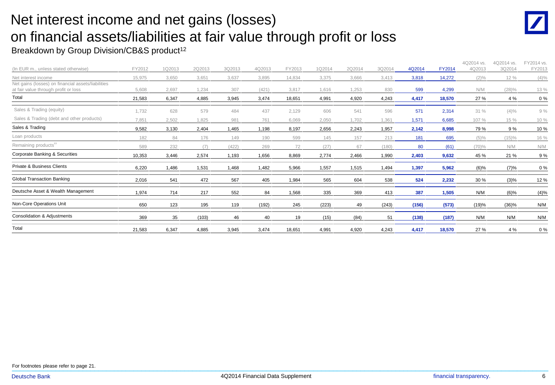## Net interest income and net gains (losses) on financial assets/liabilities at fair value through profit or loss

#### Breakdown by Group Division/CB&S product<sup>12</sup>

| (In EUR m., unless stated otherwise)                                                       | FY2012 | 1Q2013 | 2Q2013 | 3Q2013 | 4Q2013 | FY2013 | 1Q2014 | 2Q2014 | 3Q2014 | 4Q2014 | FY2014 | 4Q2014 vs.<br>4Q2013 | 4Q2014 vs.<br>3Q2014 | FY2014 vs.<br>FY2013 |
|--------------------------------------------------------------------------------------------|--------|--------|--------|--------|--------|--------|--------|--------|--------|--------|--------|----------------------|----------------------|----------------------|
| Net interest income                                                                        | 15,975 | 3,650  | 3,651  | 3,637  | 3,895  | 14,834 | 3,375  | 3,666  | 3,413  | 3,818  | 14,272 | $(2)\%$              | 12 %                 | $(4)\%$              |
| Net gains (losses) on financial assets/liabilities<br>at fair value through profit or loss | 5,608  | 2,697  | 1,234  | 307    | (421)  | 3,817  | 1,616  | 1,253  | 830    | 599    | 4,299  | N/M                  | $(28)\%$             | 13 %                 |
| Total                                                                                      | 21,583 | 6,347  | 4,885  | 3,945  | 3,474  | 18,651 | 4,991  | 4,920  | 4,243  | 4,417  | 18,570 | 27 %                 | 4 %                  | $0\%$                |
| Sales & Trading (equity)                                                                   | 1,732  | 628    | 579    | 484    | 437    | 2.129  | 606    | 541    | 596    | 571    | 2,314  | 31%                  | $(4)\%$              | 9%                   |
| Sales & Trading (debt and other products)                                                  | 7,851  | 2,502  | 1,825  | 981    | 761    | 6,069  | 2,050  | 1,702  | 1,361  | 1,571  | 6,685  | 107 %                | 15 %                 | 10 %                 |
| Sales & Trading                                                                            | 9,582  | 3,130  | 2,404  | .465   | 1,198  | 8,197  | 2,656  | 2,243  | 1,957  | 2,142  | 8,998  | 79 %                 | 9 %                  | 10%                  |
| Loan products                                                                              | 182    | 84     | 176    | 149    | 190    | 599    | 145    | 157    | 213    | 181    | 695    | (5)%                 | (15)%                | 16 %                 |
| Remaining products <sup>13</sup>                                                           | 589    | 232    | (7)    | (422)  | 269    | 72     | (27)   | 67     | (180)  | 80     | (61)   | (70)%                | N/M                  | N/M                  |
| Corporate Banking & Securities                                                             | 10,353 | 3,446  | 2,574  | 1,193  | 1,656  | 8,869  | 2,774  | 2,466  | 1,990  | 2,403  | 9,632  | 45 %                 | 21 %                 | 9%                   |
| <b>Private &amp; Business Clients</b>                                                      | 6,220  | 1,486  | 1,531  | 1,468  | 1,482  | 5,966  | 1,557  | 1,515  | 1,494  | 1,397  | 5,962  | $(6)\%$              | (7)%                 | 0%                   |
| <b>Global Transaction Banking</b>                                                          | 2,016  | 541    | 472    | 567    | 405    | 1,984  | 565    | 604    | 538    | 524    | 2,232  | 30 %                 | $(3)\%$              | 12 %                 |
| Deutsche Asset & Wealth Management                                                         | 1,974  | 714    | 217    | 552    | 84     | 1,568  | 335    | 369    | 413    | 387    | 1,505  | N/M                  | $(6)\%$              | (4)%                 |
| Non-Core Operations Unit                                                                   | 650    | 123    | 195    | 119    | (192)  | 245    | (223)  | 49     | (243)  | (156)  | (573)  | (19)%                | (36)%                | N/M                  |
| Consolidation & Adjustments                                                                | 369    | 35     | (103)  | 46     | 40     | 19     | (15)   | (84)   | 51     | (138)  | (187)  | N/M                  | N/M                  | N/M                  |
| Total                                                                                      | 21,583 | 6,347  | 4,885  | 3,945  | 3,474  | 18,651 | 4,991  | 4,920  | 4,243  | 4,417  | 18,570 | 27 %                 | 4 %                  | 0%                   |

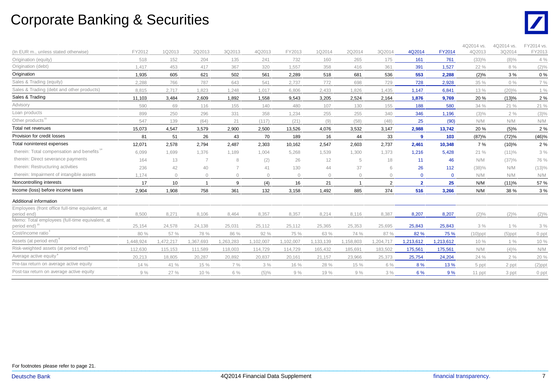### Corporate Banking & Securities



| (In EUR m., unless stated otherwise)                           | FY2012    | 1Q2013    | 2Q2013    | 3Q2013       | 4Q2013    | FY2013    | 1Q2014       | 2Q2014     | 3Q2014         | 4Q2014         | FY2014       | 4Q2014 vs.<br>4Q2013 | 4Q2014 vs.<br>3Q2014 | FY2014 vs.<br>FY2013 |
|----------------------------------------------------------------|-----------|-----------|-----------|--------------|-----------|-----------|--------------|------------|----------------|----------------|--------------|----------------------|----------------------|----------------------|
| Origination (equity)                                           | 518       | 152       | 204       | 135          | 241       | 732       | 160          | 265        | 175            | 161            | 761          | (33)%                | $(8)\%$              | 4%                   |
| Origination (debt)                                             | 1,417     | 453       | 417       | 367          | 320       | 1,557     | 358          | 416        | 361            | 391            | 1,527        | 22 %                 | 8 %                  | $(2)\%$              |
| Origination                                                    | 1,935     | 605       | 621       | 502          | 561       | 2.289     | 518          | 681        | 536            | 553            | 2.288        | (2)%                 | 3%                   | 0%                   |
| Sales & Trading (equity)                                       | 2.288     | 766       | 787       | 643          | 541       | 2,737     | 772          | 698        | 729            | 728            | 2,928        | 35 %                 | 0%                   | 7 %                  |
| Sales & Trading (debt and other products)                      | 8,815     | 2,717     | 1,823     | 1,248        | 1,017     | 6,806     | 2,433        | 1,826      | 1,435          | 1,147          | 6,841        | 13 %                 | $(20)\%$             | $1\%$                |
| Sales & Trading                                                | 11,103    | 3,484     | 2,609     | 1,892        | 1,558     | 9,543     | 3,205        | 2,524      | 2,164          | 1,876          | 9,769        | 20 %                 | (13)%                | 2 %                  |
| Advisory                                                       | 590       | 69        | 116       | 155          | 140       | 480       | 107          | 130        | 155            | 188            | 580          | 34 %                 | 21 %                 | 21 %                 |
| Loan products                                                  | 899       | 250       | 296       | 331          | 358       | 1,234     | 255          | 255        | 340            | 346            | 1,196        | $(3)\%$              | 2%                   | $(3)\%$              |
| Other products <sup>11</sup>                                   | 547       | 139       | (64)      | 21           | (117)     | (21)      | (9)          | (58)       | (48)           | 25             | (90)         | N/M                  | N/M                  | N/M                  |
| Total net revenues                                             | 15,073    | 4,547     | 3,579     | 2,900        | 2,500     | 13,526    | 4,076        | 3,532      | 3,147          | 2,988          | 13,742       | 20%                  | (5)%                 | 2 %                  |
| Provision for credit losses                                    | 81        | 51        | 26        | 43           | 70        | 189       | 16           | 44         | 33             | 9              | 103          | (87)%                | (72)%                | (46)%                |
| Total noninterest expenses                                     | 12,071    | 2,578     | 2,794     | 2,487        | 2,303     | 10,162    | 2,547        | 2,603      | 2,737          | 2,461          | 10,348       | 7 %                  | $(10)\%$             | 2%                   |
| therein: Total compensation and benefits"                      | 6,099     | 1,699     | 1,376     | 1,189        | 1,004     | 5,268     | 1,539        | 1,300      | 1,373          | 1,216          | 5,428        | 21 %                 | (11)%                | 3%                   |
| therein: Direct severance payments                             | 164       | 13        |           | 8            | (2)       | 26        | 12           | 5          | 18             | 11             | 46           | N/M                  | (37)%                | 76 %                 |
| therein: Restructuring activities                              | 236       | 42        | 40        |              | 41        | 130       | 44           | 37         | 6              | 26             | 112          | (38)%                | N/M                  | $(13)\%$             |
| therein: Impairment of intangible assets                       | 1.174     | $\circ$   | $\circ$   | $\mathbf{0}$ | $\Omega$  | $\circ$   | $\mathbf{0}$ | $\bigcirc$ | $\Omega$       | $\mathbf{0}$   | $\mathbf{0}$ | N/M                  | N/M                  | N/M                  |
| Noncontrolling interests                                       | 17        | 10        |           | 9            | (4)       | 16        | 21           |            | $\overline{2}$ | $\overline{2}$ | 25           | N/M                  | (11)%                | 57 %                 |
| Income (loss) before income taxes                              | 2,904     | 1,908     | 758       | 361          | 132       | 3,158     | 1,492        | 885        | 374            | 516            | 3,266        | N/M                  | 38 %                 | 3 %                  |
| Additional information                                         |           |           |           |              |           |           |              |            |                |                |              |                      |                      |                      |
| Employees (front office full-time equivalent, at               |           |           |           |              |           |           |              |            |                |                |              |                      |                      |                      |
| period end)                                                    | 8,500     | 8,271     | 8,106     | 8,464        | 8,357     | 8,357     | 8,214        | 8,116      | 8,387          | 8,207          | 8,207        | $(2)\%$              | $(2)\%$              | $(2)\%$              |
| Memo: Total employees (full-time equivalent, at<br>period end) | 25.154    | 24,578    | 24,138    | 25,031       | 25,112    | 25,112    | 25,365       | 25,353     | 25,695         | 25,843         | 25,843       | 3%                   | 1%                   | 3%                   |
| Cost/income ratio                                              |           |           |           |              |           |           |              |            |                |                |              |                      |                      |                      |
| Assets (at period end) <sup>®</sup>                            | 80 %      | 57 %      | 78 %      | 86 %         | 92 %      | 75 %      | 63 %         | 74 %       | 87 %           | 82 %           | 75 %         | $(10)$ ppt           | $(5)$ ppt            | 0 ppt                |
| Risk-weighted assets (at period end) <sup>6</sup>              | 1,448,924 | 1,472,217 | 1,367,693 | 1,263,283    | 1,102,007 | 1,102,007 | 1,133,139    | 1,158,803  | 1,204,717      | 1,213,612      | 1,213,612    | 10 %                 | 1%                   | 10 %                 |
| Average active equity <sup>9</sup>                             | 112,630   | 115,153   | 111,589   | 118,003      | 114,729   | 114,729   | 165,432      | 185,691    | 183,502        | 175,561        | 175,561      | N/M                  | $(4)\%$              | N/M                  |
|                                                                | 20.213    | 18.805    | 20,287    | 20,892       | 20,837    | 20.161    | 21,157       | 23,966     | 25,373         | 25,754         | 24,204       | 24 %                 | 2%                   | 20 %                 |
| Pre-tax return on average active equity                        | 14 %      | 41 %      | 15 %      | 7%           | 3%        | 16 %      | 28 %         | 15 %       | 6 %            | 8%             | 13 %         | 5 ppt                | 2 ppt                | $(2)$ ppt            |
| Post-tax return on average active equity                       | 9%        | 27 %      | 10 %      | $6\%$        | (5)%      | 9%        | 19 %         | 9%         | 3%             | 6 %            | 9%           | 11 ppt               | 3 ppt                | 0 ppt                |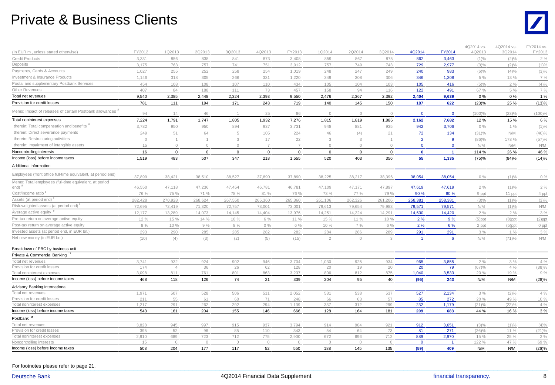#### Private & Business Clients



| (In EUR m., unless stated otherwise)                                                                                   | FY2012  | 1Q2013         | 2Q2013         | 3Q2013      | 4Q2013         | FY2013         | 1Q2014         | 2Q2014         | 3Q2014      | 4Q2014         | FY2014         | 4Q2014 vs.<br>4Q2013 | 4Q2014 vs.<br>3Q2014 | FY2014 vs.<br>FY2013 |
|------------------------------------------------------------------------------------------------------------------------|---------|----------------|----------------|-------------|----------------|----------------|----------------|----------------|-------------|----------------|----------------|----------------------|----------------------|----------------------|
| <b>Credit Products</b>                                                                                                 | 3,331   | 856            | 838            | 841         | 873            | 3,408          | 859            | 867            | 875         | 862            | 3,463          | $(1)\%$              | $(2)\%$              | $2\%$                |
| Deposits                                                                                                               | 3,175   | 763            | 757            | 741         | 751            | 3,012          | 757            | 749            | 743         | 729            | 2,977          | $(3)\%$              | $(2)\%$              | $(1)\%$              |
| Payments, Cards & Accounts                                                                                             | 1,027   | 255            | 252            | 258         | 254            | 1,019          | 248            | 247            | 249         | 240            | 983            | $(6)\%$              | (4)%                 | $(3)\%$              |
| Investment & Insurance Products                                                                                        | 1,146   | 318            | 305            | 266         | 331            | 1,220          | 349            | 308            | 306         | 346            | 1,308          | 5 %                  | 13 %                 | 7 %                  |
| Postal and supplementary Postbank Services                                                                             | 454     | 108            | 108            | 107         | 110            | 434            | 105            | 104            | 103         | 105            | 416            | $(5)\%$              | 2%                   | (4)%                 |
| Other Revenues                                                                                                         | 407     | 84             | 188            | 111         | 73             | 457            | 158            | 94             | 116         | 122            | 491            | 67 %                 | 5 %                  | 7 %                  |
| Total net revenues                                                                                                     | 9,540   | 2,385          | 2,448          | 2,324       | 2,393          | 9,550          | 2,476          | 2,367          | 2,392       | 2,404          | 9,639          | 0%                   | 0%                   | 1 %                  |
| Provision for credit losses                                                                                            | 781     | 111            | 194            | 171         | 243            | 719            | 140            | 145            | 150         | 187            | 622            | (23)%                | 25 %                 | (13)%                |
| Memo: Impact of releases of certain Postbank allowances"                                                               | 94      | 14             | 46             |             | 25             | 86             | $\circ$        | $\circ$        | $\circ$     | $\mathbf{0}$   | $\mathbf 0$    | (100)%               | (23)%                | $(100)\%$            |
| Total noninterest expenses                                                                                             | 7,224   | 1,791          | 1,747          | 1,805       | 1,932          | 7,276          | 1,815          | 1,819          | 1,886       | 2,162          | 7,682          | 12%                  | 15 %                 | 6 %                  |
| therein: Total compensation and benefits <sup>14</sup>                                                                 | 3,782   | 950            | 950            | 894         | 937            | 3,731          | 948            | 881            | 935         | 942            | 3,706          | $0\%$                | 1%                   | $(1)\%$              |
| therein: Direct severance payments                                                                                     | 249     | 51             | 64             | 5           | 105            | 224            | 46             | (4)            | 21          | 72             | 134            | $(31)\%$             | N/M                  | (40)%                |
| therein: Restructuring activities                                                                                      | $\circ$ | $\overline{1}$ | $\overline{1}$ | 3           | 17             | 22             | 3              | 3              |             | $\overline{2}$ | 9              | $(86)\%$             | 178 %                | (57)%                |
| therein: Impairment of intangible assets                                                                               | 15      | $\bigcap$      | $\Omega$       | $\bigcirc$  | $\overline{7}$ | $\overline{7}$ | $\bigcirc$     | $\Omega$       | $\cap$      | $\overline{0}$ | $\Omega$       | N/M                  | N/M                  | N/M                  |
| Noncontrolling interests                                                                                               | 16      | $\overline{0}$ | $\mathbf 0$    | $\mathbf 0$ | $\mathbf 0$    | $\mathbf 0$    | $\mathbf 0$    | $\mathbf 0$    | $\mathbf 0$ | $\mathbf 0$    | $\overline{1}$ | 114 %                | 26 %                 | 46 %                 |
| Income (loss) before income taxes                                                                                      | 1,519   | 483            | 507            | 347         | 218            | 1,555          | 520            | 403            | 356         | 55             | 1,335          | (75)%                | (84)%                | (14)%                |
| Additional information                                                                                                 |         |                |                |             |                |                |                |                |             |                |                |                      |                      |                      |
|                                                                                                                        |         |                |                |             |                |                |                |                |             |                |                |                      |                      |                      |
| Employees (front office full-time equivalent, at period end)<br>Memo: Total employees (full-time equivalent, at period | 37,899  | 38,421         | 38,510         | 38,527      | 37,890         | 37,890         | 38,225         | 38,217         | 38,396      | 38,054         | 38,054         | $0\%$                | $(1)\%$              | $0\%$                |
| end) <sup>15</sup>                                                                                                     | 46,550  | 47,118         | 47,236         | 47,454      | 46,781         | 46,781         | 47,109         | 47,171         | 47,897      | 47,619         | 47,619         | 2%                   | $(1)\%$              | $2\%$                |
| Cost/income ratio <sup>3</sup>                                                                                         | 76 %    | 75 %           | 71 %           | 78 %        | 81 %           | 76 %           | 73 %           | 77 %           | 79 %        | 90 %           | 80 %           | 9 ppt                | 11 ppt               | 4 ppt                |
| Assets (at period end) '                                                                                               | 282,428 | 270,928        | 268,624        | 267,550     | 265,360        | 265,360        | 261,106        | 262,326        | 261,206     | 258,381        | 258,381        | $(3)\%$              | $(1)\%$              | $(3)\%$              |
| Risk-weighted assets (at period end)                                                                                   | 72,695  | 72,419         | 71,320         | 72,757      | 73,001         | 73,001         | 79,613         | 79,654         | 79,983      | 79,571         | 79,571         | N/M                  | $(1)\%$              | N/M                  |
| Average active equity                                                                                                  | 12,177  | 13,289         | 14,073         | 14,145      | 14,404         | 13,976         | 14,251         | 14,224         | 14,291      | 14,630         | 14,420         | 2%                   | 2%                   | 3%                   |
| Pre-tax return on average active equity                                                                                | 12 %    | 15 %           | 14%            | 10 %        | 6 %            | 11 %           | 15 %           | 11 %           | 10 %        | 2%             | 9%             | $(5)$ ppt            | $(8)$ ppt            | $(2)$ ppt            |
| Post-tax return on average active equity                                                                               | 8 %     | 10 %           | 9%             | 8 %         | 0%             | 6 %            | 10 %           | 7 %            | 6 %         | 2%             | 6 %            | 2 ppt                | $(5)$ ppt            | 0 ppt                |
| Invested assets (at period end, in EUR bn.)                                                                            | 293     | 290            | 285            | 285         | 282            | 282            | 284            | 286            | 289         | 291            | 291            | 3%                   | $1\%$                | $3\%$                |
| Net new money (in EUR bn.)                                                                                             | (10)    | (4)            | (3)            | (2)         | (5)            | (15)           | $\overline{2}$ | $\circledcirc$ | 3           | $\overline{1}$ | 6              | N/M                  | (71)%                | N/M                  |
| Breakdown of PBC by business unit                                                                                      |         |                |                |             |                |                |                |                |             |                |                |                      |                      |                      |
| Private & Commercial Banking                                                                                           |         |                |                |             |                |                |                |                |             |                |                |                      |                      |                      |
| Total net revenues                                                                                                     | 3,741   | 932            | 924            | 902         | 946            | 3,704          | 1,030          | 925            | 934         | 965            | 3,855          | 2%                   | 3%                   | 4%                   |
| Provision for credit losses                                                                                            | 174     | $\Delta$       | 36             | 26          | 62             | 128            | 20             | 19             | 20          | 20             | 79             | (67)%                | 4%                   | (38)%                |
| Total noninterest expenses                                                                                             | 3,098   | 811            | 761            | 801         | 863            | 3,237          | 806            | 812            | 875         | 1,040          | 3,533          | 20 %                 | 19 %                 | 9%                   |
| Income (loss) before income taxes                                                                                      | 468     | 118            | 126            | 74          | 21             | 339            | 204            | 95             | 40          | (95)           | 243            | N/M                  | N/M                  | (28)%                |
| Advisory Banking International                                                                                         |         |                |                |             |                |                |                |                |             |                |                |                      |                      |                      |
| Total net revenues                                                                                                     | 1,971   | 507            | 528            | 506         | 511            | 2,052          | 531            | 538            | 537         | 527            | 2,134          | 3%                   | $(2)\%$              | 4%                   |
| Provision for credit losses                                                                                            | 211     | 55             | 61             | 60          | 71             | 248            | 66             | 63             | 57          | 85             | 272            | 20 %                 | 49 %                 | 10 %                 |
| Total noninterest expenses                                                                                             | 1,217   | 291            | 262            | 292         | 294            | 1,139          | 337            | 312            | 299         | 232            | 1,179          | $(21)$ %             | (22)%                | 4 %                  |
| Income (loss) before income taxes                                                                                      | 543     | 161            | 204            | 155         | 146            | 666            | 128            | 164            | 181         | 209            | 683            | 44 %                 | 16 %                 | $3%$                 |
| Postbank                                                                                                               |         |                |                |             |                |                |                |                |             |                |                |                      |                      |                      |
| Total net revenues                                                                                                     | 3,828   | 945            | 997            | 915         | 937            | 3,794          | 914            | 904            | 921         | 912            | 3,651          | $(3)\%$              | $(1)\%$              | $(4)\%$              |
| Provision for credit losses                                                                                            | 395     | 52             | 96             | 85          | 110            | 343            | 54             | 64             | 73          | 81             | 271            | $(26)\%$             | 11 %                 | $(21)\%$             |
| Total noninterest expenses                                                                                             | 2,910   | 689            | 723            | 712         | 775            | 2,900          | 672            | 696            | 712         | 889            | 2,970          | 15 %                 | 25 %                 | 2%                   |
| Noncontrolling interests                                                                                               | 15      | $\Omega$       | $\circledcirc$ | $\circ$     | $\circledcirc$ | $\Omega$       | $\circ$        | $\circ$        | $\circ$     | $\overline{0}$ | $\overline{1}$ | 122 %                | 47 %                 | 69 %                 |
| Income (loss) before income taxes                                                                                      | 508     | 204            | 177            | 117         | 52             | 550            | 188            | 145            | 135         | (59)           | 409            | N/M                  | N/M                  | (26)%                |

For footnotes please refer to page 21. For footnotes please refer to page 21.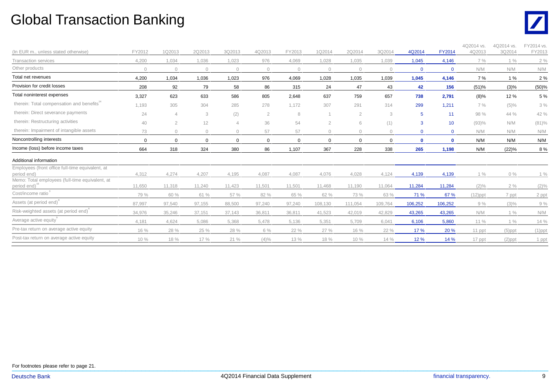### Global Transaction Banking



| (In EUR m., unless stated otherwise)                                         | FY2012      | 1Q2013   | 2Q2013    | 3Q2013      | 4Q2013         | FY2013   | 1Q2014         | 2Q2014         | 3Q2014   | 4Q2014       | <b>FY2014</b> | 4Q2014 vs.<br>4Q2013 | 4Q2014 vs.<br>3Q2014 | FY2014 vs.<br>FY2013 |
|------------------------------------------------------------------------------|-------------|----------|-----------|-------------|----------------|----------|----------------|----------------|----------|--------------|---------------|----------------------|----------------------|----------------------|
| <b>Transaction services</b>                                                  | 4,200       | 1,034    | 1,036     | 1,023       | 976            | 4,069    | 1,028          | 1,035          | 1,039    | 1,045        | 4,146         | 7 %                  | 1%                   | 2%                   |
| Other products                                                               | $\bigcap$   | $\cap$   | $\bigcap$ | $\Omega$    | $\Omega$       | $\Omega$ | $\circ$        | $\Omega$       |          | $\Omega$     | $\mathbf 0$   | N/M                  | N/M                  | N/M                  |
| Total net revenues                                                           | 4,200       | 1,034    | 1,036     | 1,023       | 976            | 4,069    | 1,028          | 1,035          | 1,039    | 1,045        | 4,146         | 7 %                  | 1 %                  | 2 %                  |
| Provision for credit losses                                                  | 208         | 92       | 79        | 58          | 86             | 315      | 24             | 47             | 43       | 42           | 156           | (51)%                | (3)%                 | (50)%                |
| Total noninterest expenses                                                   | 3,327       | 623      | 633       | 586         | 805            | 2,648    | 637            | 759            | 657      | 738          | 2,791         | $(8)\%$              | 12%                  | 5 %                  |
| therein: Total compensation and benefits"                                    | 1,193       | 305      | 304       | 285         | 278            | 1,172    | 307            | 291            | 314      | 299          | 1.211         | 7 %                  | $(5)\%$              | 3%                   |
| therein: Direct severance payments                                           | 24          |          | 3         | (2)         | $\overline{2}$ | 8        |                | $\overline{2}$ | 3        | 5            | 11            | 98 %                 | 44 %                 | 42 %                 |
| therein: Restructuring activities                                            | 40          | 2        | 12        |             | 36             | 54       | $\overline{2}$ | 6              | (1)      | 3            | 10            | (93)%                | N/M                  | $(81)\%$             |
| therein: Impairment of intangible assets                                     | 73          |          | $\Omega$  | $\bigcap$   | 57             | 57       | $\bigcirc$     | $\bigcap$      |          | $\Omega$     | $\mathbf{0}$  | N/M                  | N/M                  | N/M                  |
| Noncontrolling interests                                                     | $\mathbf 0$ | $\Omega$ | $\Omega$  | $\mathbf 0$ | 0              | 0        | 0              | $\mathbf 0$    | $\Omega$ | $\mathbf{0}$ | $\mathbf 0$   | N/M                  | N/M                  | N/M                  |
| Income (loss) before income taxes                                            | 664         | 318      | 324       | 380         | 86             | 1,107    | 367            | 228            | 338      | 265          | 1,198         | N/M                  | (22)%                | 8 %                  |
| Additional information                                                       |             |          |           |             |                |          |                |                |          |              |               |                      |                      |                      |
| Employees (front office full-time equivalent, at<br>period end)              | 4,312       | 4,274    | 4,207     | 4,195       | 4,087          | 4,087    | 4,076          | 4,028          | 4,124    | 4,139        | 4,139         | 1%                   | $0\%$                | $1\%$                |
| Memo: Total employees (full-time equivalent, at<br>period_end) <sup>15</sup> | 11,650      | 11,318   | 11,240    | 11,423      | 11.501         | 11.501   | 11,468         | 11,190         | 11,064   | 11,284       | 11,284        | $(2)\%$              | 2%                   | $(2)\%$              |
| Cost/income ratio <sup>3</sup>                                               | 79 %        | 60 %     | 61 %      | 57 %        | 82 %           | 65 %     | 62 %           | 73 %           | 63 %     | 71 %         | 67 %          | $(12)$ ppt           | 7 ppt                | 2 ppt                |
| Assets (at period end) <sup>8</sup>                                          | 87,997      | 97,540   | 97,155    | 88,500      | 97,240         | 97.240   | 108,130        | 111,054        | 109,764  | 106,252      | 106,252       | 9%                   | $(3)\%$              | 9%                   |
| Risk-weighted assets (at period end)°                                        | 34,976      | 35,246   | 37,151    | 37,143      | 36,811         | 36,811   | 41,523         | 42,019         | 42,829   | 43,265       | 43,265        | N/M                  | $1\%$                | N/M                  |
| Average active equity                                                        | 4.181       | 4,624    | 5,086     | 5.368       | 5.478          | 5,136    | 5,351          | 5,709          | 6,041    | 6,106        | 5,860         | 11 %                 | 1%                   | 14 %                 |
| Pre-tax return on average active equity                                      | 16 %        | 28 %     | 25 %      | 28 %        | 6 %            | 22 %     | 27 %           | 16 %           | 22 %     | 17 %         | 20 %          | 11 ppt               | $(5)$ ppt            | $(1)$ ppt            |
| Post-tax return on average active equity                                     | 10 %        | 18 %     | 17 %      | 21%         | $(4)\%$        | 13 %     | 18 %           | 10 %           | 14 %     | 12 %         | 14 %          | 17 ppt               | $(2)$ ppt            | 1 ppt                |

For footnotes please refer to page 21. For footnotes please refer to page 21.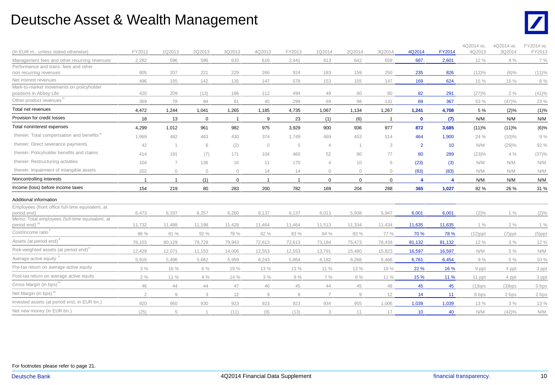#### Deutsche Asset & Wealth Management



| (In EUR m., unless stated otherwise)                                         | FY2012         | 1Q2013         | 2Q2013      | 3Q2013       | 4Q2013         | FY2013  | 1Q2014         | 2Q2014                 | 3Q2014         | 4Q2014         | FY2014           | 4Q2014 vs.<br>4Q2013 | 4Q2014 vs.<br>3Q2014 | FY2014 vs.<br>FY2013 |
|------------------------------------------------------------------------------|----------------|----------------|-------------|--------------|----------------|---------|----------------|------------------------|----------------|----------------|------------------|----------------------|----------------------|----------------------|
| Management fees and other recurring revenues                                 | 2,282          | 596            | 596         | 633          | 616            | 2,441   | 613            | 642                    | 659            | 687            | 2,601            | 12 %                 | 4%                   | $7\%$                |
| Performance and trans. fees and other                                        |                |                |             |              |                |         |                |                        |                |                |                  |                      |                      |                      |
| non recurring revenues                                                       | 905            | 207            | 221         | 229          | 266            | 924     | 183            | 159                    | 250            | 235            | 826              | $(12)\%$             | $(6)\%$              | (11)%                |
| Net interest revenues                                                        | 496            | 155            | 142         | 135          | 147            | 578     | 153            | 155                    | 147            | 169            | 624              | 15 %                 | 15 %                 | $8\ \%$              |
| Mark-to-market movements on policyholder<br>positions in Abbey Life          | 420            | 209            | (13)        | 186          | 112            | 494     | 49             | 80                     | 80             | 82             | 291              | (27)%                | 2%                   | (41)%                |
| Other product revenues                                                       | 369            | 78             | 94          | 81           | 45             | 299     | 69             | 98                     | 131            | 69             | 367              | 53 %                 | (47)%                | 23 %                 |
| Total net revenues                                                           | 4,472          | 1,244          | 1,041       | 1,265        | 1,185          | 4,735   | 1,067          | 1,134                  | 1,267          | 1,241          | 4,708            | 5 %                  | (2)%                 | (1)%                 |
| Provision for credit losses                                                  | 18             | 13             | $\mathbf 0$ | $\mathbf{1}$ | 9              | 23      | (1)            | (6)                    | $\overline{1}$ | $\mathbf 0$    | (7)              | N/M                  | N/M                  | N/M                  |
| Total noninterest expenses                                                   | 4,299          | 1,012          | 961         | 982          | 975            | 3,929   | 900            | 936                    | 977            | 872            | 3,685            | (11)%                | (11)%                | $(6)\%$              |
| therein: Total compensation and benefits <sup>14</sup>                       | 1.969          | 482            | 463         | 430          | 374            | 1.749   | 469            | 453                    | 514            | 464            | 1.900            | 24 %                 | $(10)\%$             | 9%                   |
| therein: Direct severance payments                                           | 42             | $\overline{1}$ | 6           | (2)          | $\circ$        | 5       | $\overline{4}$ | $\overline{1}$         | 3              | $\overline{2}$ | 10               | N/M                  | (29)%                | 92 %                 |
| therein: Policyholder benefits and claims                                    | 414            | 191            | (7)         | 171          | 104            | 460     | 52             | 80                     | 77             | 80             | 289              | (23)%                | 4%                   | (37)%                |
| therein: Restructuring activities                                            | 104            | $\overline{7}$ | 136         | 16           | 11             | 170     | $\overline{4}$ | 10                     | 6              | (23)           | (3)              | N/M                  | N/M                  | N/M                  |
| therein: Impairment of intangible assets                                     | 202            | $\bigcap$      | $\circ$     | $\bigcap$    | 14             | 14      | $\mathbf{0}$   | $\mathbf{0}$           | $\Omega$       | (83)           | (83)             | N/M                  | N/M                  | N/M                  |
| Noncontrolling interests                                                     | $\overline{1}$ | $\overline{1}$ | (1)         | $\mathbf 0$  | $\overline{1}$ |         | $\mathbf 0$    | $\mathbf 0$            | $\mathbf 0$    | $\overline{4}$ | $\boldsymbol{A}$ | N/M                  | N/M                  | N/M                  |
| Income (loss) before income taxes                                            | 154            | 219            | 80          | 283          | 200            | 782     | 169            | 204                    | 288            | 365            | 1,027            | 82 %                 | 26 %                 | 31 %                 |
| Additional information                                                       |                |                |             |              |                |         |                |                        |                |                |                  |                      |                      |                      |
| Employees (front office full-time equivalent, at                             |                |                |             |              |                |         |                |                        |                |                |                  |                      |                      |                      |
| period end)                                                                  | 6,473          | 6,337          | 6,257       | 6,260        | 6,137          | 6,137   | 6,013          | 5,938                  | 5,947          | 6,001          | 6,001            | $(2)\%$              | $1\%$                | $(2)\%$              |
| Memo: Total employees (full-time equivalent, at<br>period end) <sup>15</sup> | 11,732         | 11,488         | 11,198      | 11,428       | 11,464         | 11,464  | 11,513         | 11,334                 | 11,434         | 11,635         | 11,635           | 1%                   | 2%                   | $1\%$                |
| Cost/income ratio                                                            | 96 %           | 81 %           | 92 %        | 78 %         | 82 %           | 83 %    | 84 %           | 83 %                   | 77 %           | 70 %           | 78 %             | $(12)$ ppt           | $(7)$ ppt            | $(5)$ ppt            |
| Assets (at period end) <sup>6</sup>                                          | 78,103         | 80,129         | 79,729      | 79,943       | 72,613         | 72,613  | 73,184         | 75,473                 | 78,438         | 81,132         | 81,132           | 12 %                 | 3%                   | 12 %                 |
| Risk-weighted assets (at period end) <sup>6</sup>                            | 12,429         | 12,071         | 11,153      | 14,006       | 12,553         | 12,553  | 13,791         | 15,480                 | 15,823         | 16,597         | 16,597           | N/M                  | $5\ \%$              | N/M                  |
| Average active equity                                                        | 5,916          | 5,496          | 5,662       | 5,959        | 6.243          | 5,864   | 6,182          | 6,268                  | 6,466          | 6,781          | 6,454            | 9%                   | 5 %                  | 10 %                 |
| Pre-tax return on average active equity                                      | 3%             | 16 %           | 6 %         | 19 %         | 13 %           | 13 %    | 11 %           | 13 %                   | 18 %           | 22 %           | 16 %             | 9 ppt                | 4 ppt                | 3 ppt                |
| Post-tax return on average active equity                                     | 2%             | 11 %           | $4\%$       | 14 %         | 3%             | $8\ \%$ | $7\%$          | 8%                     | 11 %           | 15 %           | 11 %             | 11 ppt               | 4 ppt                | 3 ppt                |
| Gross Margin (in bps) <sup>19</sup>                                          | 46             | 44             | 44          | 47           | 46             | 45      | 44             | 45                     | 48             | 45             | 45               | $(1)$ bps            | $(3)$ bps            | 0 bps                |
| Net Margin (in bps) <sup>20</sup>                                            | $\overline{2}$ | 9              | 3           | 12           | $\overline{9}$ | 8       | $\overline{7}$ | $\mathrel{\mathsf{g}}$ | 12             | 14             | 11               | 6 bps                | 2 bps                | 2 bps                |
| Invested assets (at period end, in EUR bn.)                                  | 920            | 950            | 930         | 923          | 923            | 923     | 934            | 955                    | 1,006          | 1,039          | 1,039            | 13 %                 | 3%                   | 13 %                 |
| Net new money (in EUR bn.)                                                   | (25)           | 5              |             | (11)         | (9)            | (13)    | 3              | 11                     | 17             | 10             | 40               | N/M                  | (42)%                | N/M                  |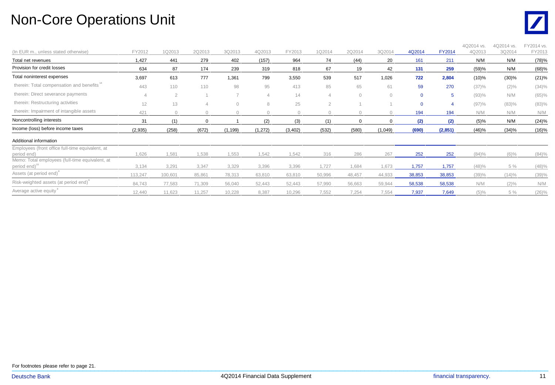# Non-Core Operations Unit



| (In EUR m., unless stated otherwise)                                         | FY2012  | 1Q2013         | 2Q2013   | 3Q2013   | 4Q2013   | FY2013   | 1Q2014    | 2Q2014    | 3Q2014  | 4Q2014   | FY2014   | 4Q2014 vs.<br>4Q2013 | 4Q2014 vs.<br>3Q2014 | Y2014 vs.<br>FY2013 |
|------------------------------------------------------------------------------|---------|----------------|----------|----------|----------|----------|-----------|-----------|---------|----------|----------|----------------------|----------------------|---------------------|
| Total net revenues                                                           | 1,427   | 441            | 279      | 402      | (157)    | 964      | 74        | (44)      | 20      | 161      | 211      | N/M                  | N/M                  | (78)%               |
| Provision for credit losses                                                  | 634     | 87             | 174      | 239      | 319      | 818      | 67        | 19        | 42      | 131      | 259      | (59)%                | N/M                  | (68)%               |
| Total noninterest expenses                                                   | 3,697   | 613            | 777      | 1,361    | 799      | 3,550    | 539       | 517       | 1,026   | 722      | 2,804    | $(10)\%$             | (30)%                | (21)%               |
| therein: Total compensation and benefits                                     | 443     | 110            | 110      | 98       | 95       | 413      | 85        | 65        | 61      | 59       | 270      | (37)%                | $(2)\%$              | $(34)\%$            |
| therein: Direct severance payments                                           |         | $\overline{2}$ |          |          | 4        | 14       |           | $\bigcap$ |         | $\Omega$ | 5        | (93)%                | N/M                  | (65)%               |
| therein: Restructuring activities                                            | 12      | 13             |          | $\Omega$ | 8        | 25       | $\Omega$  |           |         | $\Omega$ | 4        | (97)%                | (83)%                | (83)%               |
| therein: Impairment of intangible assets                                     | 421     |                | $\cap$   |          |          | $\cap$   | $\bigcap$ |           |         | 194      | 194      | N/M                  | N/M                  | N/M                 |
| Noncontrolling interests                                                     | 31      | (1)            | $\Omega$ |          | (2)      | (3)      | (1)       | $\Omega$  |         | (2)      | (2)      | (5)%                 | N/M                  | (24)%               |
| Income (loss) before income taxes                                            | (2,935) | (258)          | (672)    | (1, 199) | (1, 272) | (3, 402) | (532)     | (580)     | (1,049) | (690)    | (2, 851) | (46)%                | (34)%                | (16)%               |
| Additional information                                                       |         |                |          |          |          |          |           |           |         |          |          |                      |                      |                     |
| Employees (front office full-time equivalent, at<br>period end)              | 1,626   | 1,581          | 1,538    | 1,553    | 1,542    | 1,542    | 316       | 286       | 267     | 252      | 252      | (84)%                | $(6)\%$              | (84)%               |
| Memo: Total employees (full-time equivalent, at<br>period end) <sup>15</sup> | 3,134   | 3,291          | 3,347    | 3,329    | 3,396    | 3,396    | 1,727     | 1,684     | 1,673   | 1,757    | 1.757    | (48)%                | 5 %                  | (48)%               |
| Assets (at period end) <sup>°</sup>                                          | 113,247 | 100,601        | 85,861   | 78,313   | 63,810   | 63,810   | 50,996    | 48,457    | 44,933  | 38,853   | 38,853   | (39)%                | (14)%                | (39)%               |
| Risk-weighted assets (at period end)°                                        | 84,743  | 77,583         | 71,309   | 56,040   | 52,443   | 52,443   | 57,990    | 56,663    | 59,944  | 58,538   | 58,538   | N/M                  | $(2)\%$              | N/M                 |
| Average active equity                                                        | 12,440  | 11,623         | 11,257   | 10,228   | 8.387    | 10,296   | 7,552     | 7,254     | 7,554   | 7,937    | 7,649    | (5)%                 | 5 %                  | $(26)\%$            |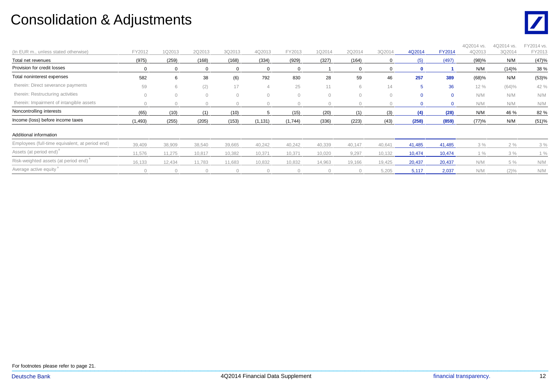### Consolidation & Adjustments



| (In EUR m., unless stated otherwise)            | FY2012       | 1Q2013   | 2Q2013   | 3Q2013 | 4Q2013         | FY2013  | 1Q2014   | 2Q2014 | 3Q2014 | 4Q2014      | <b>FY2014</b> | 4Q2014 vs.<br>4Q2013 | 4Q2014 vs.<br>3Q2014 | FY2014 vs.<br>FY2013 |
|-------------------------------------------------|--------------|----------|----------|--------|----------------|---------|----------|--------|--------|-------------|---------------|----------------------|----------------------|----------------------|
| Total net revenues                              | (975)        | (259)    | (168)    | (168)  | (334)          | (929)   | (327)    | (164)  |        |             | (497)         | (98)%                | N/M                  | (47)%                |
| Provision for credit losses                     |              |          | $\Omega$ |        | 0              | 0       |          |        |        | n           |               | N/M                  | (14)%                | 38 %                 |
| Total noninterest expenses                      | 582          | 6        | 38       | (6)    | 792            | 830     | 28       | 59     | 46     | 257         | 389           | (68)%                | N/M                  | (53)%                |
| therein: Direct severance payments              | 59           | 6        | (2)      | 17     | $\overline{4}$ | 25      | 11       | 6      | 14     | 5           | 36            | 12 %                 | (64)%                | 42 %                 |
| therein: Restructuring activities               | $\mathbf{0}$ | $\Omega$ | $\circ$  | 0      | $\circ$        | 0       | $\circ$  |        |        | $\mathbf 0$ | $\mathbf 0$   | N/M                  | N/M                  | N/M                  |
| therein: Impairment of intangible assets        |              |          |          |        |                |         |          |        |        |             |               | N/M                  | N/M                  | N/M                  |
| Noncontrolling interests                        | (65)         | (10)     |          | (10)   |                | (15)    | (20)     | (1)    | (3)    |             | (28)          | N/M                  | 46 %                 | 82 %                 |
| Income (loss) before income taxes               | (1, 493)     | (255)    | (205)    | (153)  | (1, 131)       | (1,744) | (336)    | (223)  | (43)   | (258)       | (859)         | (77)%                | N/M                  | (51)%                |
| Additional information                          |              |          |          |        |                |         |          |        |        |             |               |                      |                      |                      |
| Employees (full-time equivalent, at period end) | 39,409       | 38,909   | 38,540   | 39,665 | 40,242         | 40,242  | 40,339   | 40,147 | 40,641 | 41,485      | 41,485        | 3%                   | 2%                   | 3%                   |
| Assets (at period end) <sup>®</sup>             | 11,576       | 11,275   | 10,817   | 10,382 | 10,371         | 10,371  | 10,020   | 9,297  | 10,132 | 10,474      | 10,474        | 1%                   | 3%                   | $1\%$                |
| Risk-weighted assets (at period end)            | 16,133       | 12,434   | 11,783   | 11,683 | 10,832         | 10,832  | 14,963   | 19,166 | 19,425 | 20,437      | 20,437        | N/M                  | 5 %                  | N/M                  |
| Average active equity                           |              |          |          |        |                |         | $\Omega$ |        | 5,205  | 5,117       | 2,037         | N/M                  | $(2)\%$              | N/M                  |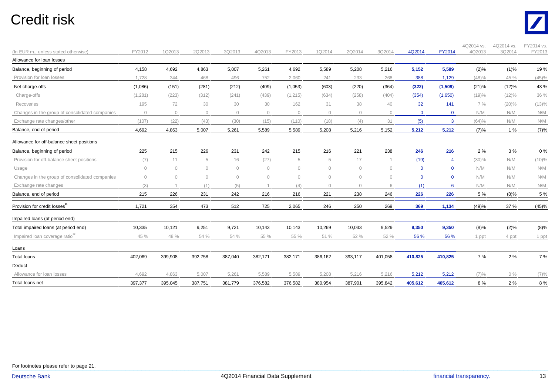### Credit risk



| (In EUR m., unless stated otherwise)           | FY2012         | 1Q2013    | 2Q2013     | 3Q2013  | 4Q2013         | FY2013   | 1Q2014       | 2Q2014       | 3Q2014    | 4Q2014       | FY2014      | 4Q2014 vs.<br>4Q2013 | 4Q2014 vs.<br>3Q2014 | FY2014 vs.<br>FY2013 |
|------------------------------------------------|----------------|-----------|------------|---------|----------------|----------|--------------|--------------|-----------|--------------|-------------|----------------------|----------------------|----------------------|
| Allowance for loan losses                      |                |           |            |         |                |          |              |              |           |              |             |                      |                      |                      |
| Balance, beginning of period                   | 4,158          | 4,692     | 4,863      | 5,007   | 5,261          | 4,692    | 5,589        | 5,208        | 5,216     | 5,152        | 5,589       | $(2)\%$              | (1)%                 | 19%                  |
| Provision for loan losses                      | 1,728          | 344       | 468        | 496     | 752            | 2,060    | 241          | 233          | 268       | 388          | 1,129       | (48)%                | 45 %                 | (45)%                |
| Net charge-offs                                | (1,086)        | (151)     | (281)      | (212)   | (409)          | (1,053)  | (603)        | (220)        | (364)     | (322)        | (1,509)     | (21)%                | (12)%                | 43 %                 |
| Charge-offs                                    | (1, 281)       | (223)     | (312)      | (241)   | (439)          | (1, 215) | (634)        | (258)        | (404)     | (354)        | (1,650)     | (19)%                | $(12)\%$             | 36 %                 |
| Recoveries                                     | 195            | 72        | 30         | 30      | 30             | 162      | 31           | 38           | 40        | 32           | 141         | 7 %                  | $(20)\%$             | (13)%                |
| Changes in the group of consolidated companies | $\circledcirc$ | $\circ$   | $\circ$    | $\circ$ | $\circledcirc$ | $\circ$  | $\mathbf{0}$ | $\mathbf{0}$ | $\circ$   | $\mathbf{0}$ | $\mathbf 0$ | N/M                  | N/M                  | N/M                  |
| Exchange rate changes/other                    | (107)          | (22)      | (43)       | (30)    | (15)           | (110)    | (18)         | (4)          | 31        | (5)          | 3           | (64)%                | N/M                  | N/M                  |
| Balance, end of period                         | 4,692          | 4,863     | 5,007      | 5,261   | 5,589          | 5,589    | 5,208        | 5,216        | 5,152     | 5,212        | 5,212       | (7)%                 | 1%                   | (7)%                 |
| Allowance for off-balance sheet positions      |                |           |            |         |                |          |              |              |           |              |             |                      |                      |                      |
| Balance, beginning of period                   | 225            | 215       | 226        | 231     | 242            | 215      | 216          | 221          | 238       | 246          | 216         | 2 %                  | 3%                   | 0%                   |
| Provision for off-balance sheet positions      | (7)            | 11        | 5          | 16      | (27)           | 5        | 5            | 17           |           | (19)         |             | $(30)\%$             | N/M                  | $(10)\%$             |
| Usage                                          | $\bigcirc$     | $\bigcap$ | $\bigcirc$ | $\circ$ | $\overline{0}$ | $\circ$  | $\circ$      | $\mathbf{0}$ | $\bigcap$ | $\Omega$     | $\Omega$    | N/M                  | N/M                  | N/M                  |
| Changes in the group of consolidated companies | $\circ$        | $\bigcap$ | $\bigcirc$ | $\circ$ | $\Omega$       | $\circ$  | $\circ$      | $\mathbf{0}$ | $\Omega$  | $\Omega$     | $\Omega$    | N/M                  | N/M                  | N/M                  |
| Exchange rate changes                          | (3)            |           | (1)        | (5)     |                | (4)      | $\mathbf{0}$ | $\Omega$     |           | (1)          | 6           | N/M                  | N/M                  | N/M                  |
| Balance, end of period                         | 215            | 226       | 231        | 242     | 216            | 216      | 221          | 238          | 246       | 226          | 226         | 5 %                  | $(8)\%$              | 5 %                  |
| Provision for credit losses <sup>21</sup>      | 1,721          | 354       | 473        | 512     | 725            | 2,065    | 246          | 250          | 269       | 369          | 1,134       | (49)%                | 37 %                 | (45)%                |
| Impaired loans (at period end)                 |                |           |            |         |                |          |              |              |           |              |             |                      |                      |                      |
| Total impaired loans (at period end)           | 10,335         | 10,121    | 9,251      | 9,721   | 10,143         | 10,143   | 10,269       | 10,033       | 9,529     | 9,350        | 9,350       | (8)%                 | (2)%                 | (8)%                 |
| Impaired Ioan coverage ratio <sup>22</sup>     | 45 %           | 48 %      | 54 %       | 54 %    | 55 %           | 55 %     | 51 %         | 52 %         | 52 %      | 56 %         | 56 %        | 1 ppt                | 4 ppt                | 1 ppt                |
| Loans                                          |                |           |            |         |                |          |              |              |           |              |             |                      |                      |                      |
| <b>Total loans</b>                             | 402,069        | 399,908   | 392,758    | 387,040 | 382,171        | 382,171  | 386,162      | 393,117      | 401,058   | 410,825      | 410,825     | 7 %                  | 2 %                  | 7 %                  |
| Deduct                                         |                |           |            |         |                |          |              |              |           |              |             |                      |                      |                      |
| Allowance for loan losses                      | 4,692          | 4,863     | 5,007      | 5,261   | 5,589          | 5,589    | 5,208        | 5,216        | 5,216     | 5,212        | 5,212       | (7)%                 | $0\%$                | (7)%                 |
| Total loans net                                | 397,377        | 395,045   | 387,751    | 381,779 | 376,582        | 376,582  | 380,954      | 387,901      | 395,842   | 405,612      | 405,612     | 8%                   | 2%                   | 8%                   |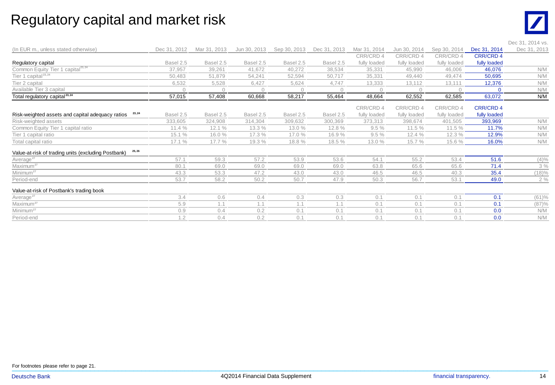#### Regulatory capital and market risk



|                                                               |              |              |              |              |              |              |              |              |                  | Dec 31, 2014 vs. |
|---------------------------------------------------------------|--------------|--------------|--------------|--------------|--------------|--------------|--------------|--------------|------------------|------------------|
| (In EUR m., unless stated otherwise)                          | Dec 31, 2012 | Mar 31, 2013 | Jun 30, 2013 | Sep 30, 2013 | Dec 31, 2013 | Mar 31, 2014 | Jun 30, 2014 | Sep 30, 2014 | Dec 31, 2014     | Dec 31, 2013     |
|                                                               |              |              |              |              |              | CRR/CRD 4    | CRR/CRD 4    | CRR/CRD 4    | <b>CRR/CRD 4</b> |                  |
| Regulatory capital                                            | Basel 2.5    | Basel 2.5    | Basel 2.5    | Basel 2.5    | Basel 2.5    | fully loaded | fully loaded | fully loaded | fully loaded     |                  |
| Common Equity Tier 1 capital <sup>23,24</sup>                 | 37,957       | 39,261       | 41,672       | 40,272       | 38,534       | 35,331       | 45,990       | 46,006       | 46,076           | N/M              |
| Tier 1 capital <sup>23,24</sup>                               | 50,483       | 51,879       | 54,241       | 52,594       | 50,717       | 35,331       | 49,440       | 49,474       | 50,695           | N/M              |
| Tier 2 capital                                                | 6,532        | 5,528        | 6.427        | 5,624        | 4,747        | 13,333       | 13,112       | 13,111       | 12,376           | N/M              |
| Available Tier 3 capital                                      |              |              | $\cap$       | $\bigcap$    | $\cap$       | $\cap$       | $\cap$       |              | $\cap$           | N/M              |
| Total regulatory capital <sup>23,24</sup>                     | 57,015       | 57,408       | 60,668       | 58,217       | 55,464       | 48,664       | 62,552       | 62,585       | 63,072           | N/M              |
|                                                               |              |              |              |              |              | CRR/CRD 4    | CRR/CRD 4    | CRR/CRD 4    | <b>CRR/CRD 4</b> |                  |
| 23, 24<br>Risk-weighted assets and capital adequacy ratios    | Basel 2.5    | Basel 2.5    | Basel 2.5    | Basel 2.5    | Basel 2.5    | fully loaded | fully loaded | fully loaded | fully loaded     |                  |
| Risk-weighted assets                                          | 333,605      | 324,908      | 314,304      | 309,632      | 300,369      | 373,313      | 398,674      | 401,505      | 393,969          | N/M              |
| Common Equity Tier 1 capital ratio                            | 11.4%        | 12.1%        | 13.3 %       | 13.0 %       | 12.8 %       | 9.5%         | 11.5 %       | 11.5 %       | 11.7%            | N/M              |
| Tier 1 capital ratio                                          | 15.1%        | 16.0%        | 17.3 %       | 17.0 %       | 16.9%        | 9.5%         | 12.4%        | 12.3 %       | 12.9%            | N/M              |
| Total capital ratio                                           | 17.1 %       | 17.7 %       | 19.3 %       | 18.8%        | 18.5 %       | 13.0 %       | 15.7 %       | 15.6 %       | 16.0%            | N/M              |
| 25, 26<br>Value-at-risk of trading units (excluding Postbank) |              |              |              |              |              |              |              |              |                  |                  |
| Average <sup>27</sup>                                         | 57.1         | 59.3         | 57.2         | 53.9         | 53.6         | 54.1         | 55.2         | 53.4         | 51.6             | $(4)\%$          |
| Maximum <sup>27</sup>                                         | 80.1         | 69.0         | 69.0         | 69.0         | 69.0         | 63.8         | 65.6         | 65.6         | 71.4             | 3%               |
| Minimum <sup>27</sup>                                         | 43.3         | 53.3         | 47.2         | 43.0         | 43.0         | 46.5         | 46.5         | 40.3         | 35.4             | (18)%            |
| Period-end                                                    | 53.7         | 58.2         | 50.2         | 50.7         | 47.9         | 50.3         | 56.7         | 53.1         | 49.0             | 2%               |
| Value-at-risk of Postbank's trading book                      |              |              |              |              |              |              |              |              |                  |                  |
| Average <sup>27</sup>                                         | 3.4          | 0.6          | 0.4          | 0.3          | 0.3          | 0.1          | 0.1          | 0.1          | 0.1              | (61)%            |
| Maximum <sup>27</sup>                                         | 5.9          | 1.1          | 1.1          | 1.1          | 1.1          | 0.1          | 0.1          | 0.1          | 0.1              | (87)%            |
| Minimum <sup>27</sup>                                         | 0.9          | 0.4          | 0.2          | 0.1          | 0.1          | 0.1          | 0.1          | 0.1          | 0.0              | N/M              |
| Period-end                                                    | 1.2          | 0.4          | 0.2          | 0.1          | 0.1          | 0.1          | 0.1          | 0.1          | 0.0              | N/M              |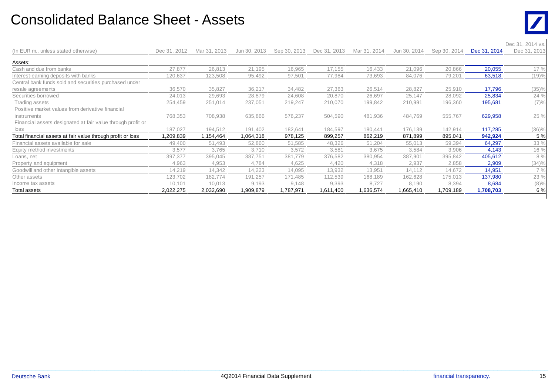#### Consolidated Balance Sheet - Assets



|                                                             |              |              |              |              |              |              |              |              |              | Dec 31, 2014 vs. |
|-------------------------------------------------------------|--------------|--------------|--------------|--------------|--------------|--------------|--------------|--------------|--------------|------------------|
| (In EUR m., unless stated otherwise)                        | Dec 31, 2012 | Mar 31, 2013 | Jun 30, 2013 | Sep 30, 2013 | Dec 31, 2013 | Mar 31, 2014 | Jun 30, 2014 | Sep 30, 2014 | Dec 31, 2014 | Dec 31, 2013     |
| Assets:                                                     |              |              |              |              |              |              |              |              |              |                  |
| Cash and due from banks                                     | 27,877       | 26,813       | 21,195       | 16,965       | 17,155       | 16,433       | 21,096       | 20,866       | 20,055       | 17 %             |
| Interest-earning deposits with banks                        | 120,637      | 123,508      | 95,492       | 97,501       | 77,984       | 73,693       | 84,076       | 79,201       | 63,518       | (19)%            |
| Central bank funds sold and securities purchased under      |              |              |              |              |              |              |              |              |              |                  |
| resale agreements                                           | 36,570       | 35,827       | 36,217       | 34,482       | 27,363       | 26,514       | 28,827       | 25,910       | 17,796       | (35)%            |
| Securities borrowed                                         | 24,013       | 29,693       | 28,879       | 24,608       | 20,870       | 26,697       | 25,147       | 28,092       | 25,834       | 24 %             |
| Trading assets                                              | 254,459      | 251,014      | 237,051      | 219,247      | 210,070      | 199,842      | 210,991      | 196,360      | 195,681      | (7)%             |
| Positive market values from derivative financial            |              |              |              |              |              |              |              |              |              |                  |
| instruments                                                 | 768,353      | 708,938      | 635,866      | 576,237      | 504,590      | 481,936      | 484,769      | 555,767      | 629,958      | 25 %             |
| Financial assets designated at fair value through profit or |              |              |              |              |              |              |              |              |              |                  |
| loss                                                        | 187,027      | 194,512      | 191,402      | 182,641      | 184,597      | 180,441      | 176,139      | 142,914      | 117,285      | (36)%            |
| Total financial assets at fair value through profit or loss | 1,209,839    | 1,154,464    | 1,064,318    | 978,125      | 899,257      | 862,219      | 871,899      | 895,041      | 942,924      | 5 %              |
| Financial assets available for sale                         | 49,400       | 51,493       | 52,860       | 51,585       | 48,326       | 51,204       | 55,013       | 59,394       | 64,297       | 33 %             |
| Equity method investments                                   | 3,577        | 3,765        | 3,710        | 3,572        | 3,581        | 3,675        | 3,584        | 3,906        | 4,143        | 16 %             |
| Loans, net                                                  | 397,377      | 395,045      | 387,751      | 381,779      | 376,582      | 380,954      | 387,901      | 395,842      | 405,612      | 8 %              |
| Property and equipment                                      | 4,963        | 4,953        | 4,784        | 4,625        | 4,420        | 4,318        | 2,937        | 2,858        | 2,909        | (34)%            |
| Goodwill and other intangible assets                        | 14,219       | 14,342       | 14,223       | 14,095       | 13,932       | 13,951       | 14,112       | 14,672       | 14,951       | 7%               |
| Other assets                                                | 123,702      | 182,774      | 191,257      | 171,485      | 112,539      | 168,189      | 162,628      | 175,013      | 137,980      | 23 %             |
| Income tax assets                                           | 10,101       | 10,013       | 9,193        | 9,148        | 9,393        | 8,727        | 8,190        | 8,394        | 8,684        | $(8)\%$          |
| Total assets                                                | 2,022,275    | 2,032,690    | 1,909,879    | 1,787,971    | 1,611,400    | 1,636,574    | 1,665,410    | 1,709,189    | 1,708,703    | 6 %              |

 $\_$  , and the set of the set of the set of the set of the set of the set of the set of the set of the set of the set of the set of the set of the set of the set of the set of the set of the set of the set of the set of th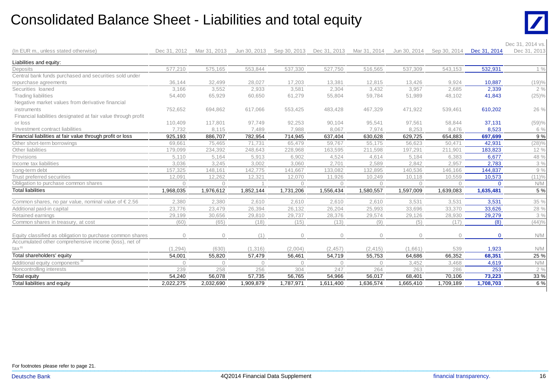#### Consolidated Balance Sheet - Liabilities and total equity



| Dec 31, 2014<br>Dec 31, 2012<br>Mar 31, 2013<br>Jun 30, 2013<br>Sep 30, 2013<br>Dec 31, 2013<br>Mar 31, 2014<br>Jun 30, 2014<br>Sep 30, 2014<br>Dec 31, 2013<br>(In EUR m., unless stated otherwise)<br>Liabilities and equity:<br>577,210<br>575,165<br>553,844<br>537,330<br>527,750<br>537,309<br>532,931<br>516,565<br>543,153<br>Deposits<br>Central bank funds purchased and securities sold under<br>36,144<br>28,027<br>17,203<br>9,924<br>10,887<br>(19)%<br>repurchase agreements<br>32,499<br>13,381<br>12,815<br>13,426<br>3,166<br>2,933<br>3,581<br>2,304<br>3,957<br>2,685<br>2,339<br>Securities loaned<br>3,552<br>3,432<br><b>Trading liabilities</b><br>54,400<br>55,804<br>(25)%<br>65,929<br>60,650<br>61,279<br>59,784<br>51,989<br>48,102<br>41,843<br>Negative market values from derivative financial<br>752,652<br>610,202<br>26 %<br>instruments<br>694,862<br>617,066<br>553,425<br>483,428<br>467,329<br>471,922<br>539,461<br>Financial liabilities designated at fair value through profit<br>or loss<br>110,409<br>117,801<br>97,749<br>92,253<br>90,104<br>95,541<br>97,561<br>58,844<br>37,131<br>(59)%<br>Investment contract liabilities<br>7,732<br>7,489<br>7,988<br>8,067<br>8,253<br>8,476<br>8,523<br>8,115<br>7,974<br>Financial liabilities at fair value through profit or loss<br>697,699<br>925,193<br>886,707<br>782,954<br>714,945<br>637,404<br>630,628<br>629,725<br>654,883<br>42,931<br>(28)%<br>75,465<br>65,479<br>59,767<br>69,661<br>71,731<br>55,175<br>56,623<br>50,471<br>183,823<br>12 %<br>179,099<br>234,392<br>248,643<br>228,968<br>163,595<br>211,598<br>197,291<br>211,901<br>6,677<br>4,524<br>48 %<br>5,110<br>5,164<br>5,913<br>6,902<br>4,614<br>5,184<br>6,383<br>3,036<br>2,701<br>2,783<br>3,245<br>3,002<br>3,060<br>2,589<br>2,842<br>2,957<br>Income tax liabilities<br>144,837<br>157,325<br>133,082<br>132,895<br>140,536<br>148,161<br>142,775<br>141,667<br>146,166<br>Long-term debt<br>(11)%<br>Trust preferred securities<br>12,091<br>10,573<br>12,262<br>12,321<br>12,070<br>11,926<br>10,249<br>10,118<br>10,559<br>Obligation to purchase common shares<br>N/M<br>$\Omega$<br>$\Omega$<br>$\Omega$<br>$\Omega$<br>$\bigcap$<br>$\bigcap$<br>$\Omega$<br>$\Omega$<br><b>Total liabilities</b><br>1,968,035<br>1,976,612<br>1,852,144<br>1,731,206<br>1,556,434<br>1,580,557<br>1,597,009<br>1,639,083<br>1,635,481<br>3,531<br>35 %<br>2,380<br>2,380<br>2,610<br>2,610<br>2,610<br>2,610<br>3,531<br>3,531<br>Common shares, no par value, nominal value of $\epsilon$ 2.56<br>33,626<br>23,479<br>26,132<br>26,204<br>25,993<br>33,696<br>33,370<br>28 %<br>23,776<br>26,394<br>Additional paid-in capital<br>28,376<br>29,279<br>29,199<br>29,737<br>29,574<br>29,126<br>28,930<br>30,656<br>29,810<br>(60)<br>(8)<br>(44)%<br>(65)<br>(18)<br>(15)<br>(13)<br>(9)<br>(5)<br>(17)<br>Common shares in treasury, at cost |  |
|------------------------------------------------------------------------------------------------------------------------------------------------------------------------------------------------------------------------------------------------------------------------------------------------------------------------------------------------------------------------------------------------------------------------------------------------------------------------------------------------------------------------------------------------------------------------------------------------------------------------------------------------------------------------------------------------------------------------------------------------------------------------------------------------------------------------------------------------------------------------------------------------------------------------------------------------------------------------------------------------------------------------------------------------------------------------------------------------------------------------------------------------------------------------------------------------------------------------------------------------------------------------------------------------------------------------------------------------------------------------------------------------------------------------------------------------------------------------------------------------------------------------------------------------------------------------------------------------------------------------------------------------------------------------------------------------------------------------------------------------------------------------------------------------------------------------------------------------------------------------------------------------------------------------------------------------------------------------------------------------------------------------------------------------------------------------------------------------------------------------------------------------------------------------------------------------------------------------------------------------------------------------------------------------------------------------------------------------------------------------------------------------------------------------------------------------------------------------------------------------------------------------------------------------------------------------------------------------------------------------------------------------------------------------------------------------------------------------------------------------------------------------------------------------------------------------------------------------------------------------------------------------------------------|--|
|                                                                                                                                                                                                                                                                                                                                                                                                                                                                                                                                                                                                                                                                                                                                                                                                                                                                                                                                                                                                                                                                                                                                                                                                                                                                                                                                                                                                                                                                                                                                                                                                                                                                                                                                                                                                                                                                                                                                                                                                                                                                                                                                                                                                                                                                                                                                                                                                                                                                                                                                                                                                                                                                                                                                                                                                                                                                                                                  |  |
|                                                                                                                                                                                                                                                                                                                                                                                                                                                                                                                                                                                                                                                                                                                                                                                                                                                                                                                                                                                                                                                                                                                                                                                                                                                                                                                                                                                                                                                                                                                                                                                                                                                                                                                                                                                                                                                                                                                                                                                                                                                                                                                                                                                                                                                                                                                                                                                                                                                                                                                                                                                                                                                                                                                                                                                                                                                                                                                  |  |
|                                                                                                                                                                                                                                                                                                                                                                                                                                                                                                                                                                                                                                                                                                                                                                                                                                                                                                                                                                                                                                                                                                                                                                                                                                                                                                                                                                                                                                                                                                                                                                                                                                                                                                                                                                                                                                                                                                                                                                                                                                                                                                                                                                                                                                                                                                                                                                                                                                                                                                                                                                                                                                                                                                                                                                                                                                                                                                                  |  |
|                                                                                                                                                                                                                                                                                                                                                                                                                                                                                                                                                                                                                                                                                                                                                                                                                                                                                                                                                                                                                                                                                                                                                                                                                                                                                                                                                                                                                                                                                                                                                                                                                                                                                                                                                                                                                                                                                                                                                                                                                                                                                                                                                                                                                                                                                                                                                                                                                                                                                                                                                                                                                                                                                                                                                                                                                                                                                                                  |  |
|                                                                                                                                                                                                                                                                                                                                                                                                                                                                                                                                                                                                                                                                                                                                                                                                                                                                                                                                                                                                                                                                                                                                                                                                                                                                                                                                                                                                                                                                                                                                                                                                                                                                                                                                                                                                                                                                                                                                                                                                                                                                                                                                                                                                                                                                                                                                                                                                                                                                                                                                                                                                                                                                                                                                                                                                                                                                                                                  |  |
|                                                                                                                                                                                                                                                                                                                                                                                                                                                                                                                                                                                                                                                                                                                                                                                                                                                                                                                                                                                                                                                                                                                                                                                                                                                                                                                                                                                                                                                                                                                                                                                                                                                                                                                                                                                                                                                                                                                                                                                                                                                                                                                                                                                                                                                                                                                                                                                                                                                                                                                                                                                                                                                                                                                                                                                                                                                                                                                  |  |
| Other short-term borrowings<br>Other liabilities<br>Provisions<br>Retained earnings                                                                                                                                                                                                                                                                                                                                                                                                                                                                                                                                                                                                                                                                                                                                                                                                                                                                                                                                                                                                                                                                                                                                                                                                                                                                                                                                                                                                                                                                                                                                                                                                                                                                                                                                                                                                                                                                                                                                                                                                                                                                                                                                                                                                                                                                                                                                                                                                                                                                                                                                                                                                                                                                                                                                                                                                                              |  |
|                                                                                                                                                                                                                                                                                                                                                                                                                                                                                                                                                                                                                                                                                                                                                                                                                                                                                                                                                                                                                                                                                                                                                                                                                                                                                                                                                                                                                                                                                                                                                                                                                                                                                                                                                                                                                                                                                                                                                                                                                                                                                                                                                                                                                                                                                                                                                                                                                                                                                                                                                                                                                                                                                                                                                                                                                                                                                                                  |  |
|                                                                                                                                                                                                                                                                                                                                                                                                                                                                                                                                                                                                                                                                                                                                                                                                                                                                                                                                                                                                                                                                                                                                                                                                                                                                                                                                                                                                                                                                                                                                                                                                                                                                                                                                                                                                                                                                                                                                                                                                                                                                                                                                                                                                                                                                                                                                                                                                                                                                                                                                                                                                                                                                                                                                                                                                                                                                                                                  |  |
|                                                                                                                                                                                                                                                                                                                                                                                                                                                                                                                                                                                                                                                                                                                                                                                                                                                                                                                                                                                                                                                                                                                                                                                                                                                                                                                                                                                                                                                                                                                                                                                                                                                                                                                                                                                                                                                                                                                                                                                                                                                                                                                                                                                                                                                                                                                                                                                                                                                                                                                                                                                                                                                                                                                                                                                                                                                                                                                  |  |
|                                                                                                                                                                                                                                                                                                                                                                                                                                                                                                                                                                                                                                                                                                                                                                                                                                                                                                                                                                                                                                                                                                                                                                                                                                                                                                                                                                                                                                                                                                                                                                                                                                                                                                                                                                                                                                                                                                                                                                                                                                                                                                                                                                                                                                                                                                                                                                                                                                                                                                                                                                                                                                                                                                                                                                                                                                                                                                                  |  |
|                                                                                                                                                                                                                                                                                                                                                                                                                                                                                                                                                                                                                                                                                                                                                                                                                                                                                                                                                                                                                                                                                                                                                                                                                                                                                                                                                                                                                                                                                                                                                                                                                                                                                                                                                                                                                                                                                                                                                                                                                                                                                                                                                                                                                                                                                                                                                                                                                                                                                                                                                                                                                                                                                                                                                                                                                                                                                                                  |  |
|                                                                                                                                                                                                                                                                                                                                                                                                                                                                                                                                                                                                                                                                                                                                                                                                                                                                                                                                                                                                                                                                                                                                                                                                                                                                                                                                                                                                                                                                                                                                                                                                                                                                                                                                                                                                                                                                                                                                                                                                                                                                                                                                                                                                                                                                                                                                                                                                                                                                                                                                                                                                                                                                                                                                                                                                                                                                                                                  |  |
|                                                                                                                                                                                                                                                                                                                                                                                                                                                                                                                                                                                                                                                                                                                                                                                                                                                                                                                                                                                                                                                                                                                                                                                                                                                                                                                                                                                                                                                                                                                                                                                                                                                                                                                                                                                                                                                                                                                                                                                                                                                                                                                                                                                                                                                                                                                                                                                                                                                                                                                                                                                                                                                                                                                                                                                                                                                                                                                  |  |
|                                                                                                                                                                                                                                                                                                                                                                                                                                                                                                                                                                                                                                                                                                                                                                                                                                                                                                                                                                                                                                                                                                                                                                                                                                                                                                                                                                                                                                                                                                                                                                                                                                                                                                                                                                                                                                                                                                                                                                                                                                                                                                                                                                                                                                                                                                                                                                                                                                                                                                                                                                                                                                                                                                                                                                                                                                                                                                                  |  |
|                                                                                                                                                                                                                                                                                                                                                                                                                                                                                                                                                                                                                                                                                                                                                                                                                                                                                                                                                                                                                                                                                                                                                                                                                                                                                                                                                                                                                                                                                                                                                                                                                                                                                                                                                                                                                                                                                                                                                                                                                                                                                                                                                                                                                                                                                                                                                                                                                                                                                                                                                                                                                                                                                                                                                                                                                                                                                                                  |  |
|                                                                                                                                                                                                                                                                                                                                                                                                                                                                                                                                                                                                                                                                                                                                                                                                                                                                                                                                                                                                                                                                                                                                                                                                                                                                                                                                                                                                                                                                                                                                                                                                                                                                                                                                                                                                                                                                                                                                                                                                                                                                                                                                                                                                                                                                                                                                                                                                                                                                                                                                                                                                                                                                                                                                                                                                                                                                                                                  |  |
|                                                                                                                                                                                                                                                                                                                                                                                                                                                                                                                                                                                                                                                                                                                                                                                                                                                                                                                                                                                                                                                                                                                                                                                                                                                                                                                                                                                                                                                                                                                                                                                                                                                                                                                                                                                                                                                                                                                                                                                                                                                                                                                                                                                                                                                                                                                                                                                                                                                                                                                                                                                                                                                                                                                                                                                                                                                                                                                  |  |
|                                                                                                                                                                                                                                                                                                                                                                                                                                                                                                                                                                                                                                                                                                                                                                                                                                                                                                                                                                                                                                                                                                                                                                                                                                                                                                                                                                                                                                                                                                                                                                                                                                                                                                                                                                                                                                                                                                                                                                                                                                                                                                                                                                                                                                                                                                                                                                                                                                                                                                                                                                                                                                                                                                                                                                                                                                                                                                                  |  |
|                                                                                                                                                                                                                                                                                                                                                                                                                                                                                                                                                                                                                                                                                                                                                                                                                                                                                                                                                                                                                                                                                                                                                                                                                                                                                                                                                                                                                                                                                                                                                                                                                                                                                                                                                                                                                                                                                                                                                                                                                                                                                                                                                                                                                                                                                                                                                                                                                                                                                                                                                                                                                                                                                                                                                                                                                                                                                                                  |  |
|                                                                                                                                                                                                                                                                                                                                                                                                                                                                                                                                                                                                                                                                                                                                                                                                                                                                                                                                                                                                                                                                                                                                                                                                                                                                                                                                                                                                                                                                                                                                                                                                                                                                                                                                                                                                                                                                                                                                                                                                                                                                                                                                                                                                                                                                                                                                                                                                                                                                                                                                                                                                                                                                                                                                                                                                                                                                                                                  |  |
|                                                                                                                                                                                                                                                                                                                                                                                                                                                                                                                                                                                                                                                                                                                                                                                                                                                                                                                                                                                                                                                                                                                                                                                                                                                                                                                                                                                                                                                                                                                                                                                                                                                                                                                                                                                                                                                                                                                                                                                                                                                                                                                                                                                                                                                                                                                                                                                                                                                                                                                                                                                                                                                                                                                                                                                                                                                                                                                  |  |
|                                                                                                                                                                                                                                                                                                                                                                                                                                                                                                                                                                                                                                                                                                                                                                                                                                                                                                                                                                                                                                                                                                                                                                                                                                                                                                                                                                                                                                                                                                                                                                                                                                                                                                                                                                                                                                                                                                                                                                                                                                                                                                                                                                                                                                                                                                                                                                                                                                                                                                                                                                                                                                                                                                                                                                                                                                                                                                                  |  |
|                                                                                                                                                                                                                                                                                                                                                                                                                                                                                                                                                                                                                                                                                                                                                                                                                                                                                                                                                                                                                                                                                                                                                                                                                                                                                                                                                                                                                                                                                                                                                                                                                                                                                                                                                                                                                                                                                                                                                                                                                                                                                                                                                                                                                                                                                                                                                                                                                                                                                                                                                                                                                                                                                                                                                                                                                                                                                                                  |  |
|                                                                                                                                                                                                                                                                                                                                                                                                                                                                                                                                                                                                                                                                                                                                                                                                                                                                                                                                                                                                                                                                                                                                                                                                                                                                                                                                                                                                                                                                                                                                                                                                                                                                                                                                                                                                                                                                                                                                                                                                                                                                                                                                                                                                                                                                                                                                                                                                                                                                                                                                                                                                                                                                                                                                                                                                                                                                                                                  |  |
|                                                                                                                                                                                                                                                                                                                                                                                                                                                                                                                                                                                                                                                                                                                                                                                                                                                                                                                                                                                                                                                                                                                                                                                                                                                                                                                                                                                                                                                                                                                                                                                                                                                                                                                                                                                                                                                                                                                                                                                                                                                                                                                                                                                                                                                                                                                                                                                                                                                                                                                                                                                                                                                                                                                                                                                                                                                                                                                  |  |
|                                                                                                                                                                                                                                                                                                                                                                                                                                                                                                                                                                                                                                                                                                                                                                                                                                                                                                                                                                                                                                                                                                                                                                                                                                                                                                                                                                                                                                                                                                                                                                                                                                                                                                                                                                                                                                                                                                                                                                                                                                                                                                                                                                                                                                                                                                                                                                                                                                                                                                                                                                                                                                                                                                                                                                                                                                                                                                                  |  |
| (1)<br>N/M<br>Equity classified as obligation to purchase common shares<br>$\Omega$<br>$\Omega$<br>$\Omega$<br>$\Omega$<br>$\bigcap$<br>$\Omega$<br>$\bigcap$<br>$\cap$                                                                                                                                                                                                                                                                                                                                                                                                                                                                                                                                                                                                                                                                                                                                                                                                                                                                                                                                                                                                                                                                                                                                                                                                                                                                                                                                                                                                                                                                                                                                                                                                                                                                                                                                                                                                                                                                                                                                                                                                                                                                                                                                                                                                                                                                                                                                                                                                                                                                                                                                                                                                                                                                                                                                          |  |
| Accumulated other comprehensive income (loss), net of                                                                                                                                                                                                                                                                                                                                                                                                                                                                                                                                                                                                                                                                                                                                                                                                                                                                                                                                                                                                                                                                                                                                                                                                                                                                                                                                                                                                                                                                                                                                                                                                                                                                                                                                                                                                                                                                                                                                                                                                                                                                                                                                                                                                                                                                                                                                                                                                                                                                                                                                                                                                                                                                                                                                                                                                                                                            |  |
| $\text{tax}^{31}$<br>1,923<br>(1, 294)<br>(630)<br>(1, 316)<br>(2,004)<br>(2, 457)<br>(1,661)<br>539<br>N/M<br>(2, 415)                                                                                                                                                                                                                                                                                                                                                                                                                                                                                                                                                                                                                                                                                                                                                                                                                                                                                                                                                                                                                                                                                                                                                                                                                                                                                                                                                                                                                                                                                                                                                                                                                                                                                                                                                                                                                                                                                                                                                                                                                                                                                                                                                                                                                                                                                                                                                                                                                                                                                                                                                                                                                                                                                                                                                                                          |  |
| Total shareholders' equity<br>68,351<br>25 %<br>54,001<br>55,820<br>57,479<br>56,461<br>54,719<br>55,753<br>64,686<br>66,352                                                                                                                                                                                                                                                                                                                                                                                                                                                                                                                                                                                                                                                                                                                                                                                                                                                                                                                                                                                                                                                                                                                                                                                                                                                                                                                                                                                                                                                                                                                                                                                                                                                                                                                                                                                                                                                                                                                                                                                                                                                                                                                                                                                                                                                                                                                                                                                                                                                                                                                                                                                                                                                                                                                                                                                     |  |
| N/M<br>Additional equity components <sup>32</sup><br>4,619<br>3,452<br>3,468<br>$\bigcap$<br>$\Omega$<br>$\bigcap$<br>$\bigcap$<br>$\Omega$<br>$\cap$                                                                                                                                                                                                                                                                                                                                                                                                                                                                                                                                                                                                                                                                                                                                                                                                                                                                                                                                                                                                                                                                                                                                                                                                                                                                                                                                                                                                                                                                                                                                                                                                                                                                                                                                                                                                                                                                                                                                                                                                                                                                                                                                                                                                                                                                                                                                                                                                                                                                                                                                                                                                                                                                                                                                                            |  |
| 253<br>Noncontrolling interests<br>239<br>258<br>256<br>304<br>247<br>264<br>263<br>286                                                                                                                                                                                                                                                                                                                                                                                                                                                                                                                                                                                                                                                                                                                                                                                                                                                                                                                                                                                                                                                                                                                                                                                                                                                                                                                                                                                                                                                                                                                                                                                                                                                                                                                                                                                                                                                                                                                                                                                                                                                                                                                                                                                                                                                                                                                                                                                                                                                                                                                                                                                                                                                                                                                                                                                                                          |  |
| Total equity<br>33 %<br>54,966<br>70,106<br>73,223<br>54,240<br>56,078<br>57,735<br>56,765<br>56,017<br>68,401                                                                                                                                                                                                                                                                                                                                                                                                                                                                                                                                                                                                                                                                                                                                                                                                                                                                                                                                                                                                                                                                                                                                                                                                                                                                                                                                                                                                                                                                                                                                                                                                                                                                                                                                                                                                                                                                                                                                                                                                                                                                                                                                                                                                                                                                                                                                                                                                                                                                                                                                                                                                                                                                                                                                                                                                   |  |
| Total liabilities and equity<br>2,022,275<br>2,032,690<br>,909,879<br>1,787,971<br>1,611,400<br>1,636,574<br>1,709,189<br>1,708,703<br>1,665,410                                                                                                                                                                                                                                                                                                                                                                                                                                                                                                                                                                                                                                                                                                                                                                                                                                                                                                                                                                                                                                                                                                                                                                                                                                                                                                                                                                                                                                                                                                                                                                                                                                                                                                                                                                                                                                                                                                                                                                                                                                                                                                                                                                                                                                                                                                                                                                                                                                                                                                                                                                                                                                                                                                                                                                 |  |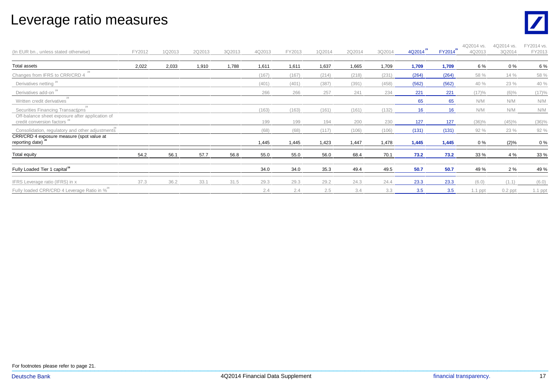#### Leverage ratio measures



| (In EUR bn., unless stated otherwise)                                                | FY2012 | 1Q2013 | 2Q2013 | 3Q2013 | 4Q2013 | FY2013 | 1Q2014 | 2Q2014 | 3Q2014 | $4Q2014^{20}$ | FY2014 <sup>29</sup> | 4Q2014 vs.<br>4Q2013 | 4Q2014 vs.<br>3Q2014 | FY2014 vs.<br>FY2013 |
|--------------------------------------------------------------------------------------|--------|--------|--------|--------|--------|--------|--------|--------|--------|---------------|----------------------|----------------------|----------------------|----------------------|
| <b>Total assets</b>                                                                  | 2,022  | 2,033  | 1,910  | 1,788  | 1,611  | 1,611  | 1,637  | 1,665  | 1,709  | 1,709         | 1,709                | 6 %                  | $0\%$                | 6 %                  |
| Changes from IFRS to CRR/CRD 4                                                       |        |        |        |        | (167)  | (167)  | (214)  | (218)  | (231)  | (264)         | (264)                | 58 %                 | 14 %                 | 58 %                 |
| Derivatives netting <sup>28</sup>                                                    |        |        |        |        | (401)  | (401)  | (387)  | (391)  | (458)  | (562)         | (562)                | 40 %                 | 23 %                 | 40 %                 |
| Derivatives add-on <sup>28</sup>                                                     |        |        |        |        | 266    | 266    | 257    | 241    | 234    | 221           | 221                  | (17)%                | $(6)\%$              | (17)%                |
| Written credit derivatives                                                           |        |        |        |        |        |        |        |        |        | 65            | 65                   | N/M                  | N/M                  | N/M                  |
| Securities Financing Transactions<br>Off-balance sheet exposure after application of |        |        |        |        | (163)  | (163)  | (161)  | (161)  | (132)  | 16            | 16                   | N/M                  | N/M                  | N/M                  |
| credit conversion factors <sup>2</sup>                                               |        |        |        |        | 199    | 199    | 194    | 200    | 230    | 127           | 127                  | $(36)\%$             | (45)%                | $(36)\%$             |
| Consolidation, regulatory and other adjustments                                      |        |        |        |        | (68)   | (68)   | (117)  | (106)  | (106)  | (131)         | (131)                | 92 %                 | 23 %                 | 92 %                 |
| CRR/CRD 4 exposure measure (spot value at<br>reporting date)                         |        |        |        |        | 1,445  | 1,445  | 1,423  | 1,447  | 1,478  | 1,445         | 1,445                | $0\%$                | (2)%                 | 0%                   |
| Total equity                                                                         | 54.2   | 56.1   | 57.7   | 56.8   | 55.0   | 55.0   | 56.0   | 68.4   | 70.1   | 73.2          | 73.2                 | 33 %                 | 4 %                  | 33 %                 |
| Fully Loaded Tier 1 capital <sup>28</sup>                                            |        |        |        |        | 34.0   | 34.0   | 35.3   | 49.4   | 49.5   | 50.7          | 50.7                 | 49 %                 | 2%                   | 49 %                 |
| IFRS Leverage ratio (IFRS) in x                                                      | 37.3   | 36.2   | 33.1   | 31.5   | 29.3   | 29.3   | 29.2   | 24.3   | 24.4   | 23.3          | 23.3                 | (6.0)                | (1.1)                | (6.0)                |
| Fully loaded CRR/CRD 4 Leverage Ratio in % <sup>28</sup>                             |        |        |        |        | 2.4    | 2.4    | 2.5    | 3.4    | 3.3    | 3.5           | 3.5                  | $1.1$ ppt            | $0.2$ ppt            | $1.1$ ppt            |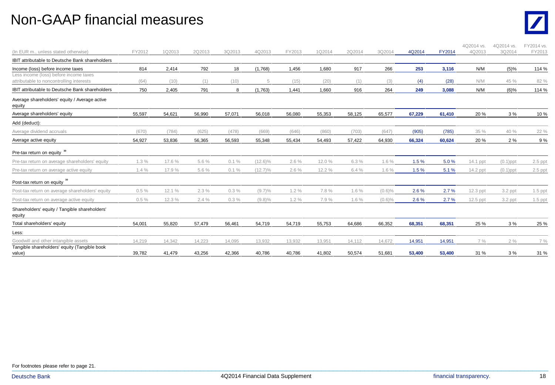#### Non-GAAP financial measures



| (In EUR m., unless stated otherwise)                                               | FY2012 | 1Q2013 | 2Q2013 | 3Q2013 | 4Q2013     | FY2013 | 1Q2014 | 2Q2014 | 3Q2014    | 4Q2014 | <b>FY2014</b> | 4Q2014 vs.<br>4Q2013 | 4Q2014 vs.<br>3Q2014 | FY2014 vs.<br>FY2013 |
|------------------------------------------------------------------------------------|--------|--------|--------|--------|------------|--------|--------|--------|-----------|--------|---------------|----------------------|----------------------|----------------------|
| <b>IBIT attributable to Deutsche Bank shareholders</b>                             |        |        |        |        |            |        |        |        |           |        |               |                      |                      |                      |
| Income (loss) before income taxes                                                  | 814    | 2,414  | 792    | 18     | (1,768)    | 1,456  | 1,680  | 917    | 266       | 253    | 3,116         | N/M                  | (5)%                 | 114 %                |
| Less income (loss) before income taxes<br>attributable to noncontrolling interests | (64)   | (10)   | (1)    | (10)   | 5          | (15)   | (20)   | (1)    | (3)       | (4)    | (28)          | N/M                  | 45 %                 | 82 %                 |
| IBIT attributable to Deutsche Bank shareholders                                    | 750    | 2,405  | 791    | 8      | (1,763)    | 1,441  | 1,660  | 916    | 264       | 249    | 3,088         | N/M                  | (6)%                 | 114 %                |
| Average shareholders' equity / Average active<br>equity                            |        |        |        |        |            |        |        |        |           |        |               |                      |                      |                      |
| Average shareholders' equity                                                       | 55,597 | 54,621 | 56,990 | 57,071 | 56,018     | 56,080 | 55,353 | 58,125 | 65,577    | 67,229 | 61,410        | 20 %                 | 3%                   | 10%                  |
| Add (deduct):                                                                      |        |        |        |        |            |        |        |        |           |        |               |                      |                      |                      |
| Average dividend accruals                                                          | (670)  | (784)  | (625)  | (478)  | (669)      | (646)  | (860)  | (703)  | (647)     | (905)  | (785)         | 35 %                 | 40 %                 | 22 %                 |
| Average active equity                                                              | 54,927 | 53,836 | 56,365 | 56,593 | 55,348     | 55,434 | 54,493 | 57,422 | 64,930    | 66,324 | 60,624        | 20 %                 | 2%                   | 9%                   |
| Pre-tax return on equity <sup>30</sup>                                             |        |        |        |        |            |        |        |        |           |        |               |                      |                      |                      |
| Pre-tax return on average shareholders' equity                                     | 1.3%   | 17.6 % | 5.6 %  | 0.1%   | $(12.6)\%$ | 2.6%   | 12.0 % | 6.3 %  | 1.6%      | 1.5%   | 5.0%          | 14.1 ppt             | $(0.1)$ ppt          | $2.5$ ppt            |
| Pre-tax return on average active equity                                            | 1.4%   | 17.9%  | 5.6 %  | 0.1%   | $(12.7)\%$ | 2.6%   | 12.2 % | 6.4%   | 1.6%      | 1.5%   | 5.1%          | 14.2 ppt             | $(0.1)$ ppt          | $2.5$ ppt            |
| Post-tax return on equity <sup>30</sup>                                            |        |        |        |        |            |        |        |        |           |        |               |                      |                      |                      |
| Post-tax return on average shareholders' equity                                    | 0.5%   | 12.1%  | 2.3%   | 0.3%   | $(9.7)\%$  | 1.2%   | 7.8 %  | 1.6%   | $(0.6)\%$ | 2.6%   | 2.7%          | 12.3 ppt             | 3.2 ppt              | 1.5 ppt              |
| Post-tax return on average active equity                                           | 0.5%   | 12.3 % | 2.4%   | 0.3%   | $(9.8)\%$  | 1.2%   | 7.9%   | 1.6%   | $(0.6)\%$ | 2.6%   | 2.7%          | $12.5$ ppt           | $3.2$ ppt            | 1.5 ppt              |
| Shareholders' equity / Tangible shareholders'<br>equity                            |        |        |        |        |            |        |        |        |           |        |               |                      |                      |                      |
| Total shareholders' equity                                                         | 54,001 | 55,820 | 57,479 | 56,461 | 54,719     | 54,719 | 55,753 | 64,686 | 66,352    | 68,351 | 68,351        | 25 %                 | 3%                   | 25 %                 |
| Less:                                                                              |        |        |        |        |            |        |        |        |           |        |               |                      |                      |                      |
| Goodwill and other intangible assets                                               | 14,219 | 14,342 | 14,223 | 14,095 | 13,932     | 13,932 | 13,951 | 14,112 | 14,672    | 14,951 | 14,951        | 7 %                  | 2%                   | 7 %                  |
| Tangible shareholders' equity (Tangible book<br>value)                             | 39,782 | 41,479 | 43,256 | 42,366 | 40,786     | 40,786 | 41,802 | 50,574 | 51,681    | 53,400 | 53,400        | 31 %                 | 3%                   | 31 %                 |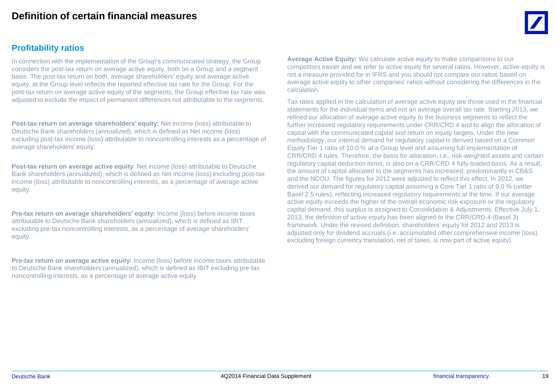#### **Profitability ratios**

In connection with the implementation of the Group's communicated strategy, the Group considers the post-tax return on average active equity, both on a Group and a segment basis. The post-tax return on both, average shareholders' equity and average active equity, at the Group level reflects the reported effective tax rate for the Group. For the post-tax return on average active equity of the segments, the Group effective tax rate was adjusted to exclude the impact of permanent differences not attributable to the segments.

**Post-tax return on average shareholders' equity:** Net income (loss) attributable to Deutsche Bank shareholders (annualized), which is defined as Net income (loss) excluding post-tax income (loss) attributable to noncontrolling interests as a percentage of average shareholders' equity.

**Post-tax return on average active equity**: Net income (loss) attributable to Deutsche Bank shareholders (annualized), which is defined as Net income (loss) excluding post-tax income (loss) attributable to noncontrolling interests, as a percentage of average active equity.

**Pre-tax return on average shareholders' equity:** Income (loss) before income taxes attributable to Deutsche Bank shareholders (annualized), which is defined as IBIT excluding pre-tax noncontrolling interests, as a percentage of average shareholders' equity.

**Pre-tax return on average active equity:** Income (loss) before income taxes attributable to Deutsche Bank shareholders (annualized), which is defined as IBIT excluding pre-tax noncontrolling interests, as a percentage of average active equity.

**Average Active Equity:** We calculate active equity to make comparisons to our competitors easier and we refer to active equity for several ratios. However, active equity is not a measure provided for in IFRS and you should not compare our ratios based on average active equity to other companies' ratios without considering the differences in the calculation.

Tax rates applied in the calculation of average active equity are those used in the financial statements for the individual items and not an average overall tax rate. Starting 2013, we refined our allocation of average active equity to the business segments to reflect the further increased regulatory requirements under CRR/CRD 4 and to align the allocation of capital with the communicated capital and return on equity targets. Under the new methodology, our internal demand for regulatory capital is derived based on a Common Equity Tier 1 ratio of 10.0 % at a Group level and assuming full implementation of CRR/CRD 4 rules. Therefore, the basis for allocation, i.e., risk-weighted assets and certain regulatory capital deduction items, is also on a CRR/CRD 4 fully-loaded basis. As a result, the amount of capital allocated to the segments has increased, predominantly in CB&S and the NCOU. The figures for 2012 were adjusted to reflect this effect. In 2012, we derived our demand for regulatory capital assuming a Core Tier 1 ratio of 9.0 % (under Basel 2.5 rules), reflecting increased regulatory requirements at the time. If our average active equity exceeds the higher of the overall economic risk exposure or the regulatory capital demand, this surplus is assigned to Consolidation & Adjustments. Effective July 1, 2013, the definition of active equity has been aligned to the CRR/CRD 4 (Basel 3) framework. Under the revised definition, shareholders' equity for 2012 and 2013 is adjusted only for dividend accruals (i.e. accumulated other comprehensive income (loss) excluding foreign currency translation, net of taxes, is now part of active equity).

 $\_$  , and the set of the set of the set of the set of the set of the set of the set of the set of the set of the set of the set of the set of the set of the set of the set of the set of the set of the set of the set of th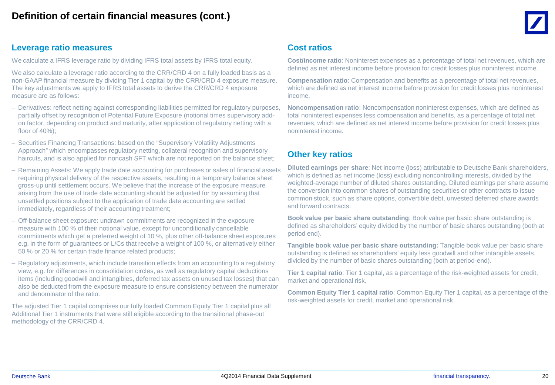

#### **Leverage ratio measures**

We calculate a IFRS leverage ratio by dividing IFRS total assets by IFRS total equity.

We also calculate a leverage ratio according to the CRR/CRD 4 on a fully loaded basis as a non-GAAP financial measure by dividing Tier 1 capital by the CRR/CRD 4 exposure measure. The key adjustments we apply to IFRS total assets to derive the CRR/CRD 4 exposure measure are as follows:

- Derivatives: reflect netting against corresponding liabilities permitted for regulatory purposes, partially offset by recognition of Potential Future Exposure (notional times supervisory addon factor, depending on product and maturity, after application of regulatory netting with a floor of 40%);
- Securities Financing Transactions: based on the "Supervisory Volatility Adjustments Approach" which encompasses regulatory netting, collateral recognition and supervisory haircuts, and is also applied for noncash SFT which are not reported on the balance sheet;
- Remaining Assets: We apply trade date accounting for purchases or sales of financial assets requiring physical delivery of the respective assets, resulting in a temporary balance sheet gross-up until settlement occurs. We believe that the increase of the exposure measure arising from the use of trade date accounting should be adjusted for by assuming that unsettled positions subject to the application of trade date accounting are settled immediately, regardless of their accounting treatment;
- Off-balance sheet exposure: undrawn commitments are recognized in the exposure measure with 100 % of their notional value, except for unconditionally cancellable commitments which get a preferred weight of 10 %, plus other off-balance sheet exposures e.g. in the form of guarantees or L/Cs that receive a weight of 100 %, or alternatively either 50 % or 20 % for certain trade finance related products;
- Regulatory adjustments, which include transition effects from an accounting to a regulatory view, e.g. for differences in consolidation circles, as well as regulatory capital deductions items (including goodwill and intangibles, deferred tax assets on unused tax losses) that can also be deducted from the exposure measure to ensure consistency between the numerator and denominator of the ratio.

The adjusted Tier 1 capital comprises our fully loaded Common Equity Tier 1 capital plus all Additional Tier 1 instruments that were still eligible according to the transitional phase-out methodology of the CRR/CRD 4.

#### **Cost ratios**

**Cost/income ratio**: Noninterest expenses as a percentage of total net revenues, which are defined as net interest income before provision for credit losses plus noninterest income.

**Compensation ratio**: Compensation and benefits as a percentage of total net revenues, which are defined as net interest income before provision for credit losses plus noninterest income.

**Noncompensation ratio**: Noncompensation noninterest expenses, which are defined as total noninterest expenses less compensation and benefits, as a percentage of total net revenues, which are defined as net interest income before provision for credit losses plus noninterest income.

#### **Other key ratios**

**Diluted earnings per share**: Net income (loss) attributable to Deutsche Bank shareholders, which is defined as net income (loss) excluding noncontrolling interests, divided by the weighted-average number of diluted shares outstanding. Diluted earnings per share assume the conversion into common shares of outstanding securities or other contracts to issue common stock, such as share options, convertible debt, unvested deferred share awards and forward contracts.

**Book value per basic share outstanding**: Book value per basic share outstanding is defined as shareholders' equity divided by the number of basic shares outstanding (both at period end).

**Tangible book value per basic share outstanding:** Tangible book value per basic share outstanding is defined as shareholders' equity less goodwill and other intangible assets, dividied by the number of basic shares outstanding (both at period-end).

**Tier 1 capital ratio**: Tier 1 capital, as a percentage of the risk-weighted assets for credit, market and operational risk.

**Common Equity Tier 1 capital ratio**: Common Equity Tier 1 capital, as a percentage of the risk-weighted assets for credit, market and operational risk.

 $\_$  , and the set of the set of the set of the set of the set of the set of the set of the set of the set of the set of the set of the set of the set of the set of the set of the set of the set of the set of the set of th